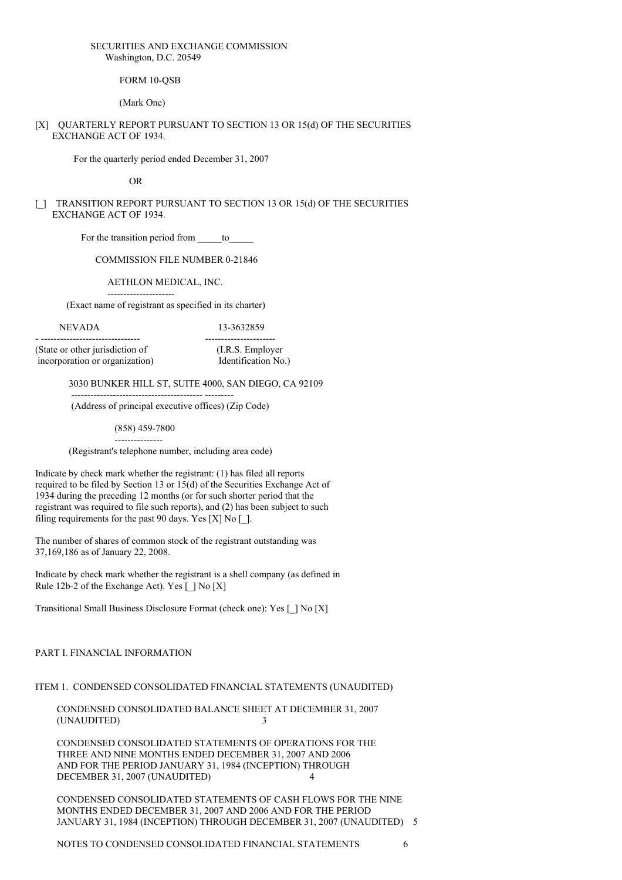### SECURITIES AND EXCHANGE COMMISSION Washington, D.C. 20549

#### FORM 10-OSB

(Mark One)

## [X] QUARTERLY REPORT PURSUANT TO SECTION 13 OR 15(d) OF THE SECURITIES EXCHANGE ACT OF 1934.

For the quarterly period ended December 31, 2007

OR

## [\_] TRANSITION REPORT PURSUANT TO SECTION 13 OR 15(d) OF THE SECURITIES EXCHANGE ACT OF 1934.

For the transition period from to

COMMISSION FILE NUMBER 0-21846

## AETHLON MEDICAL, INC.

--------------------- (Exact name of registrant as specified in its charter)

- ------------------------------- ----------------------

## NEVADA 13-3632859

(State or other jurisdiction of (I.R.S. Employer incorporation or organization) Identification No.

3030 BUNKER HILL ST, SUITE 4000, SAN DIEGO, CA 92109

----------------------------------------- --------- (Address of principal executive offices) (Zip Code)

(858) 459-7800

--------------- (Registrant's telephone number, including area code)

Indicate by check mark whether the registrant: (1) has filed all reports required to be filed by Section 13 or 15(d) of the Securities Exchange Act of 1934 during the preceding 12 months (or for such shorter period that the registrant was required to file such reports), and (2) has been subject to such filing requirements for the past 90 days. Yes [X] No  $\Box$ .

The number of shares of common stock of the registrant outstanding was 37,169,186 as of January 22, 2008.

Indicate by check mark whether the registrant is a shell company (as defined in Rule 12b-2 of the Exchange Act). Yes [ ] No [X]

Transitional Small Business Disclosure Format (check one): Yes [\_] No [X]

## PART I. FINANCIAL INFORMATION

## ITEM 1. CONDENSED CONSOLIDATED FINANCIAL STATEMENTS (UNAUDITED)

CONDENSED CONSOLIDATED BALANCE SHEET AT DECEMBER 31, 2007 (UNAUDITED) 3

CONDENSED CONSOLIDATED STATEMENTS OF OPERATIONS FOR THE THREE AND NINE MONTHS ENDED DECEMBER 31, 2007 AND 2006 AND FOR THE PERIOD JANUARY 31, 1984 (INCEPTION) THROUGH DECEMBER 31, 2007 (UNAUDITED) 4

CONDENSED CONSOLIDATED STATEMENTS OF CASH FLOWS FOR THE NINE MONTHS ENDED DECEMBER 31, 2007 AND 2006 AND FOR THE PERIOD JANUARY 31, 1984 (INCEPTION) THROUGH DECEMBER 31, 2007 (UNAUDITED) 5

NOTES TO CONDENSED CONSOLIDATED FINANCIAL STATEMENTS 6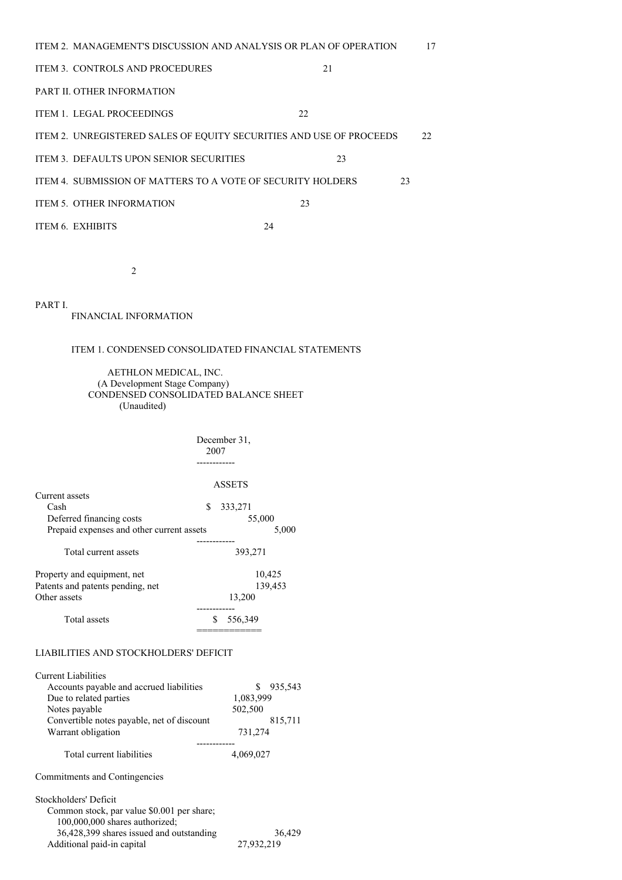| ITEM 2. MANAGEMENT'S DISCUSSION AND ANALYSIS OR PLAN OF OPERATION   |     |    | 17 |
|---------------------------------------------------------------------|-----|----|----|
| ITEM 3. CONTROLS AND PROCEDURES                                     | 2.1 |    |    |
| PART II. OTHER INFORMATION                                          |     |    |    |
| <b>ITEM 1. LEGAL PROCEEDINGS</b>                                    | 22  |    |    |
| ITEM 2. UNREGISTERED SALES OF EQUITY SECURITIES AND USE OF PROCEEDS |     |    | 22 |
| <b>ITEM 3. DEFAULTS UPON SENIOR SECURITIES</b>                      | 23  |    |    |
| ITEM 4. SUBMISSION OF MATTERS TO A VOTE OF SECURITY HOLDERS         |     | 23 |    |
| <b>ITEM 5. OTHER INFORMATION</b>                                    | 23  |    |    |
| <b>ITEM 6. EXHIBITS</b>                                             | 24  |    |    |

2

## PART I.

FINANCIAL INFORMATION

# ITEM 1. CONDENSED CONSOLIDATED FINANCIAL STATEMENTS

## AETHLON MEDICAL, INC. (A Development Stage Company) CONDENSED CONSOLIDATED BALANCE SHEET (Unaudited)

|                                           | December 31,<br>2007 |         |  |  |
|-------------------------------------------|----------------------|---------|--|--|
|                                           | .                    |         |  |  |
|                                           | <b>ASSETS</b>        |         |  |  |
| Current assets                            |                      |         |  |  |
| Cash                                      | S<br>333,271         |         |  |  |
| Deferred financing costs                  | 55,000               |         |  |  |
| Prepaid expenses and other current assets | 5,000                |         |  |  |
|                                           | -------              |         |  |  |
| Total current assets                      |                      | 393,271 |  |  |
| Property and equipment, net               |                      | 10,425  |  |  |
| Patents and patents pending, net          |                      | 139,453 |  |  |
| Other assets                              | 13,200               |         |  |  |
| Total assets                              | 556,349<br>S         |         |  |  |
|                                           |                      |         |  |  |

# LIABILITIES AND STOCKHOLDERS' DEFICIT

| Current Liabilities                        |              |
|--------------------------------------------|--------------|
| Accounts payable and accrued liabilities   | 935,543<br>S |
| Due to related parties                     | 1,083,999    |
| Notes payable                              | 502,500      |
| Convertible notes payable, net of discount | 815,711      |
| Warrant obligation                         | 731,274      |
|                                            |              |
| Total current liabilities                  | 4,069,027    |

Commitments and Contingencies

| Stockholders' Deficit                      |            |
|--------------------------------------------|------------|
| Common stock, par value \$0.001 per share; |            |
| 100,000,000 shares authorized;             |            |
| 36,428,399 shares issued and outstanding   | 36.429     |
| Additional paid-in capital                 | 27.932.219 |
|                                            |            |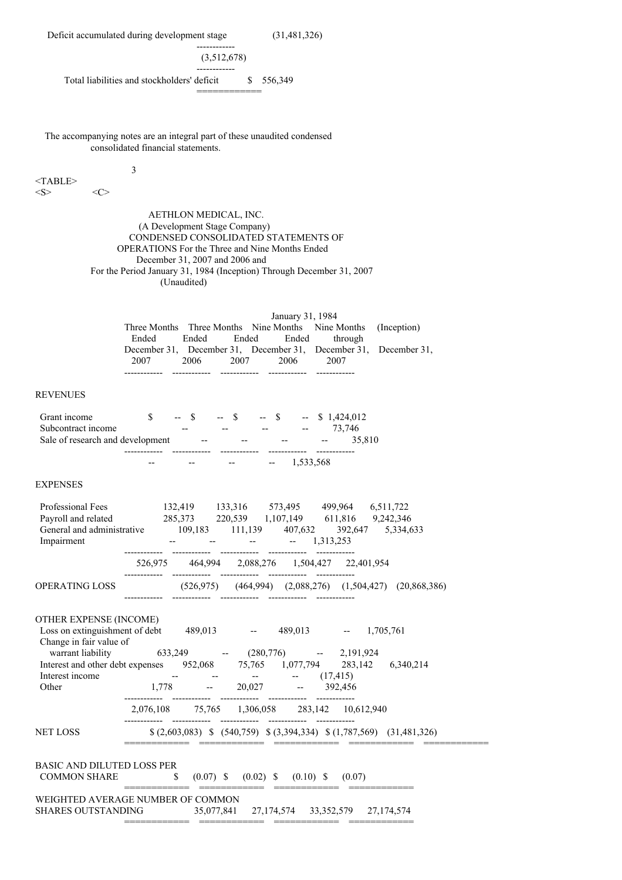| Deficit accumulated during development stage                                                                                                                                                                                                                                                                                                       | (31, 481, 326)                                                                         |
|----------------------------------------------------------------------------------------------------------------------------------------------------------------------------------------------------------------------------------------------------------------------------------------------------------------------------------------------------|----------------------------------------------------------------------------------------|
| (3,512,678)                                                                                                                                                                                                                                                                                                                                        |                                                                                        |
| Total liabilities and stockholders' deficit                                                                                                                                                                                                                                                                                                        | \$556,349                                                                              |
|                                                                                                                                                                                                                                                                                                                                                    |                                                                                        |
| The accompanying notes are an integral part of these unaudited condensed<br>consolidated financial statements.                                                                                                                                                                                                                                     |                                                                                        |
| 3                                                                                                                                                                                                                                                                                                                                                  |                                                                                        |
| $<$ TABLE><br>$<\!\!S\!\!>$<br>$<\infty$                                                                                                                                                                                                                                                                                                           |                                                                                        |
| AETHLON MEDICAL, INC.<br>(A Development Stage Company)<br>CONDENSED CONSOLIDATED STATEMENTS OF<br>OPERATIONS For the Three and Nine Months Ended<br>December 31, 2007 and 2006 and<br>For the Period January 31, 1984 (Inception) Through December 31, 2007<br>(Unaudited)                                                                         |                                                                                        |
| Three Months Three Months Nine Months Nine Months<br>Ended<br>Ended<br>Ended<br>December 31, December 31, December 31, December 31,<br>2007<br>2006<br>2007<br>------------<br>------------                                                                                                                                                        | January 31, 1984<br>(Inception)<br>Ended<br>through<br>December 31,<br>2006<br>2007    |
| <b>REVENUES</b>                                                                                                                                                                                                                                                                                                                                    |                                                                                        |
| Grant income<br>\$<br>-- S<br>$-$ S<br>Subcontract income<br>$-$<br>Sale of research and development<br>$- -$<br>--<br>$-\!$                                                                                                                                                                                                                       | $-$ S<br>$-$ \$ 1,424,012<br>73,746<br>35,810<br>1,533,568<br>$\hspace{0.05cm} \dashv$ |
| <b>EXPENSES</b>                                                                                                                                                                                                                                                                                                                                    |                                                                                        |
| Professional Fees 132,419 133,316 573,495 499,964 6,511,722<br>Payroll and related 285,373 220,539 1,107,149 611,816 9,242,346<br>General and administrative 109,183 111,139 407,632 392,647 5,334,633<br>$     1,313,253$<br>Impairment                                                                                                           |                                                                                        |
|                                                                                                                                                                                                                                                                                                                                                    | 526,975 464,994 2,088,276 1,504,427 22,401,954                                         |
| OPERATING LOSS                                                                                                                                                                                                                                                                                                                                     | $(526,975)$ $(464,994)$ $(2,088,276)$ $(1,504,427)$ $(20,868,386)$                     |
| OTHER EXPENSE (INCOME)<br>Loss on extinguishment of debt 489,013 -- 489,013 -- 1,705,761<br>Change in fair value of<br>Unange in fair value of<br>warrant liability 633,249 -- (280,776) -- 2,191,924<br>Interest and other debt expenses 952,068 75,765 1,077,794 283,142 6,340,214<br>$1,778$ - $20,027$ - $392,456$<br>Interest income<br>Other |                                                                                        |
|                                                                                                                                                                                                                                                                                                                                                    |                                                                                        |
| NET LOSS                                                                                                                                                                                                                                                                                                                                           | $$(2,603,083) \$ $$(540,759) \$ $$(3,394,334) \$ $$(1,787,569) \$ $$(31,481,326)$      |
| <b>BASIC AND DILUTED LOSS PER</b><br>COMMON SHARE \$ (0.07) \$ (0.02) \$ (0.10) \$ (0.07)                                                                                                                                                                                                                                                          |                                                                                        |
| WEIGHTED AVERAGE NUMBER OF COMMON<br>SHARES OUTSTANDING 35,077,841 27,174,574 33,352,579 27,174,574                                                                                                                                                                                                                                                |                                                                                        |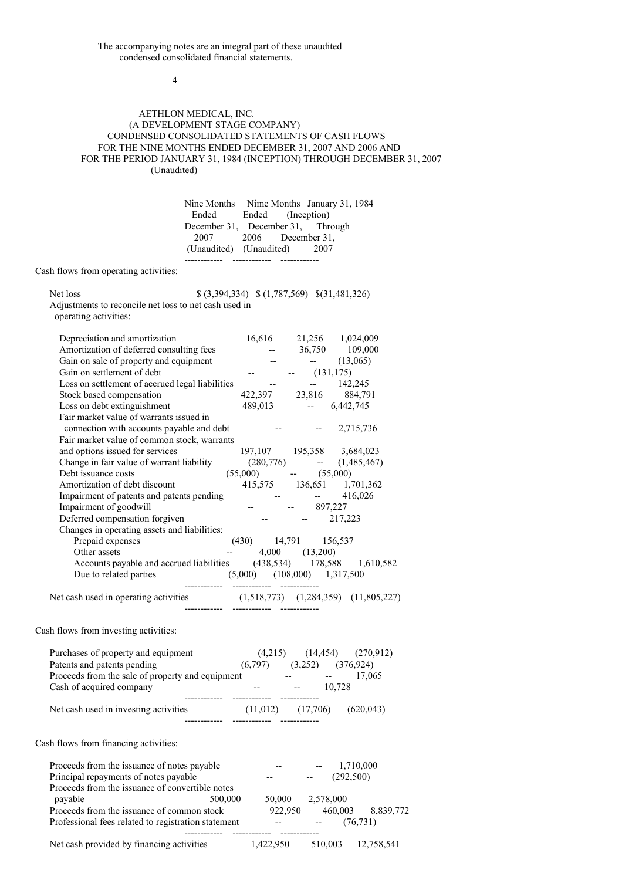4

## AETHLON MEDICAL, INC. (A DEVELOPMENT STAGE COMPANY) CONDENSED CONSOLIDATED STATEMENTS OF CASH FLOWS FOR THE NINE MONTHS ENDED DECEMBER 31, 2007 AND 2006 AND FOR THE PERIOD JANUARY 31, 1984 (INCEPTION) THROUGH DECEMBER 31, 2007 (Unaudited)

|                                   | Nine Months Nime Months January 31, 1984 |  |  |
|-----------------------------------|------------------------------------------|--|--|
| Ended                             | Ended (Inception)                        |  |  |
| December 31, December 31, Through |                                          |  |  |
| 2007                              | 2006 December 31.                        |  |  |
| (Unaudited) (Unaudited) 2007      |                                          |  |  |
|                                   |                                          |  |  |

Cash flows from operating activities:

| Net loss                                              | $(3,394,334)$ $(1,787,569)$ $(31,481,326)$ |        |        |           |
|-------------------------------------------------------|--------------------------------------------|--------|--------|-----------|
| Adjustments to reconcile net loss to net cash used in |                                            |        |        |           |
| operating activities:                                 |                                            |        |        |           |
|                                                       |                                            |        |        |           |
| Depreciation and amortization                         |                                            | 16.616 | 21.256 | 1.024.009 |
| Amortization of deferred consulting fees              |                                            | $-$    | 36,750 | 109,000   |
| Gain on sale of property and equipment                |                                            |        |        | (13 በ65). |

| Gain on sale of property and equipment                               |                                   |                | (13,065)                                   |  |
|----------------------------------------------------------------------|-----------------------------------|----------------|--------------------------------------------|--|
| Gain on settlement of debt                                           |                                   |                | (131, 175)                                 |  |
| Loss on settlement of accrued legal liabilities                      |                                   |                | 142,245                                    |  |
| Stock based compensation                                             | 422,397 23,816 884,791            |                |                                            |  |
| Loss on debt extinguishment                                          | 489,013                           | $\sim$ $-$     | 6,442,745                                  |  |
| Fair market value of warrants issued in                              |                                   |                |                                            |  |
| connection with accounts payable and debt                            |                                   |                | 2,715,736                                  |  |
| Fair market value of common stock, warrants                          |                                   |                |                                            |  |
| and options issued for services                                      |                                   |                | 197,107 195,358 3,684,023                  |  |
| Change in fair value of warrant liability                            |                                   |                | $(280,776)$ -- $(1,485,467)$               |  |
| Debt issuance costs                                                  | $(55,000)$ -- $(55,000)$          |                |                                            |  |
| Amortization of debt discount                                        |                                   |                | 415,575 136,651 1,701,362                  |  |
| Impairment of patents and patents pending                            |                                   |                | 416,026                                    |  |
| Impairment of goodwill                                               |                                   |                | 897,227                                    |  |
| Deferred compensation forgiven                                       |                                   |                | 217,223                                    |  |
| Changes in operating assets and liabilities:                         |                                   |                |                                            |  |
| Prepaid expenses                                                     | $(430)$ 14,791 156,537            |                |                                            |  |
| Other assets                                                         |                                   | 4,000 (13,200) |                                            |  |
| Accounts payable and accrued liabilities (438,534) 178,588 1,610,582 |                                   |                |                                            |  |
| Due to related parties                                               | $(5,000)$ $(108,000)$ $1,317,500$ |                |                                            |  |
| Net cash used in operating activities                                |                                   |                | $(1,518,773)$ $(1,284,359)$ $(11,805,227)$ |  |

Cash flows from investing activities:

| Purchases of property and equipment              | (4.215)  | (14, 454) | (270.912)  |
|--------------------------------------------------|----------|-----------|------------|
| Patents and patents pending                      | (6.797)  | (3.252)   | (376, 924) |
| Proceeds from the sale of property and equipment |          |           | 17.065     |
| Cash of acquired company                         |          |           | 10.728     |
|                                                  |          |           |            |
| Net cash used in investing activities            | (11,012) | (17.706)  | (620.043)  |
|                                                  |          |           |            |

------------ ------------ ------------

Cash flows from financing activities:

| Proceeds from the issuance of notes payable         |         |         |           | 1,710,000 |           |
|-----------------------------------------------------|---------|---------|-----------|-----------|-----------|
| Principal repayments of notes payable               |         |         | $- -$     | (292,500) |           |
| Proceeds from the issuance of convertible notes     |         |         |           |           |           |
| payable                                             | 500,000 | 50,000  | 2,578,000 |           |           |
| Proceeds from the issuance of common stock          |         | 922,950 |           | 460,003   | 8.839.772 |
| Professional fees related to registration statement |         |         |           | (76, 731) |           |
|                                                     |         |         |           |           |           |

Net cash provided by financing activities 1,422,950 510,003 12,758,541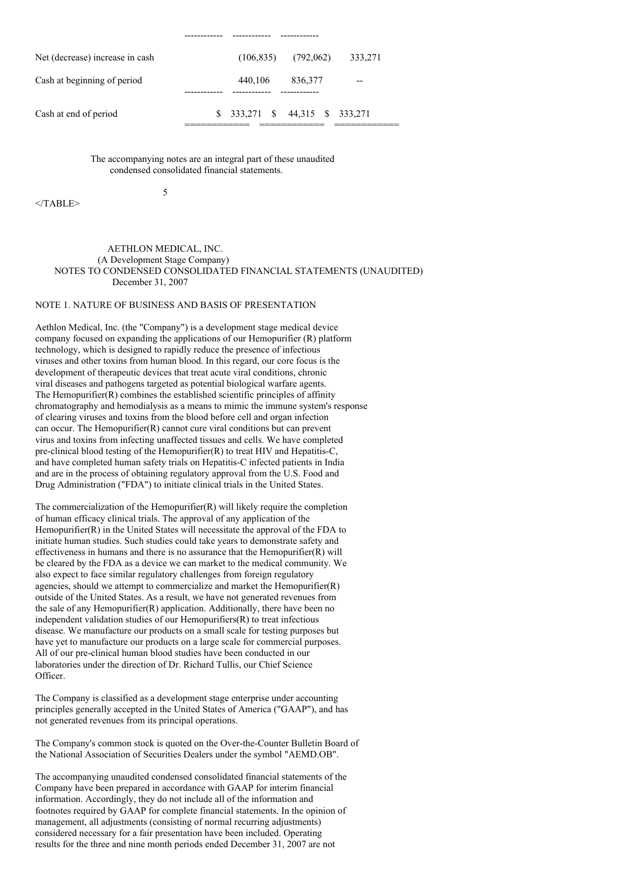| Net (decrease) increase in cash |                                 | $(106,835)$ $(792,062)$ | 333,271 |
|---------------------------------|---------------------------------|-------------------------|---------|
| Cash at beginning of period     | 440.106                         | 836.377                 | $- -$   |
| Cash at end of period           | \$ 333,271 \$ 44,315 \$ 333,271 |                         |         |

The accompanying notes are an integral part of these unaudited condensed consolidated financial statements.

 $<$ /TABLE>

## AETHLON MEDICAL, INC. (A Development Stage Company) NOTES TO CONDENSED CONSOLIDATED FINANCIAL STATEMENTS (UNAUDITED) December 31, 2007

## NOTE 1. NATURE OF BUSINESS AND BASIS OF PRESENTATION

5

Aethlon Medical, Inc. (the "Company") is a development stage medical device company focused on expanding the applications of our Hemopurifier (R) platform technology, which is designed to rapidly reduce the presence of infectious viruses and other toxins from human blood. In this regard, our core focus is the development of therapeutic devices that treat acute viral conditions, chronic viral diseases and pathogens targeted as potential biological warfare agents. The Hemopurifier(R) combines the established scientific principles of affinity chromatography and hemodialysis as a means to mimic the immune system's response of clearing viruses and toxins from the blood before cell and organ infection can occur. The Hemopurifier(R) cannot cure viral conditions but can prevent virus and toxins from infecting unaffected tissues and cells. We have completed pre-clinical blood testing of the Hemopurifier(R) to treat HIV and Hepatitis-C, and have completed human safety trials on Hepatitis-C infected patients in India and are in the process of obtaining regulatory approval from the U.S. Food and Drug Administration ("FDA") to initiate clinical trials in the United States.

The commercialization of the Hemopurifier(R) will likely require the completion of human efficacy clinical trials. The approval of any application of the Hemopurifier(R) in the United States will necessitate the approval of the FDA to initiate human studies. Such studies could take years to demonstrate safety and effectiveness in humans and there is no assurance that the Hemopurifier(R) will be cleared by the FDA as a device we can market to the medical community. We also expect to face similar regulatory challenges from foreign regulatory agencies, should we attempt to commercialize and market the Hemopurifier(R) outside of the United States. As a result, we have not generated revenues from the sale of any Hemopurifier(R) application. Additionally, there have been no independent validation studies of our Hemopurifiers(R) to treat infectious disease. We manufacture our products on a small scale for testing purposes but have yet to manufacture our products on a large scale for commercial purposes. All of our pre-clinical human blood studies have been conducted in our laboratories under the direction of Dr. Richard Tullis, our Chief Science Officer.

The Company is classified as a development stage enterprise under accounting principles generally accepted in the United States of America ("GAAP"), and has not generated revenues from its principal operations.

The Company's common stock is quoted on the Over-the-Counter Bulletin Board of the National Association of Securities Dealers under the symbol "AEMD.OB".

The accompanying unaudited condensed consolidated financial statements of the Company have been prepared in accordance with GAAP for interim financial information. Accordingly, they do not include all of the information and footnotes required by GAAP for complete financial statements. In the opinion of management, all adjustments (consisting of normal recurring adjustments) considered necessary for a fair presentation have been included. Operating results for the three and nine month periods ended December 31, 2007 are not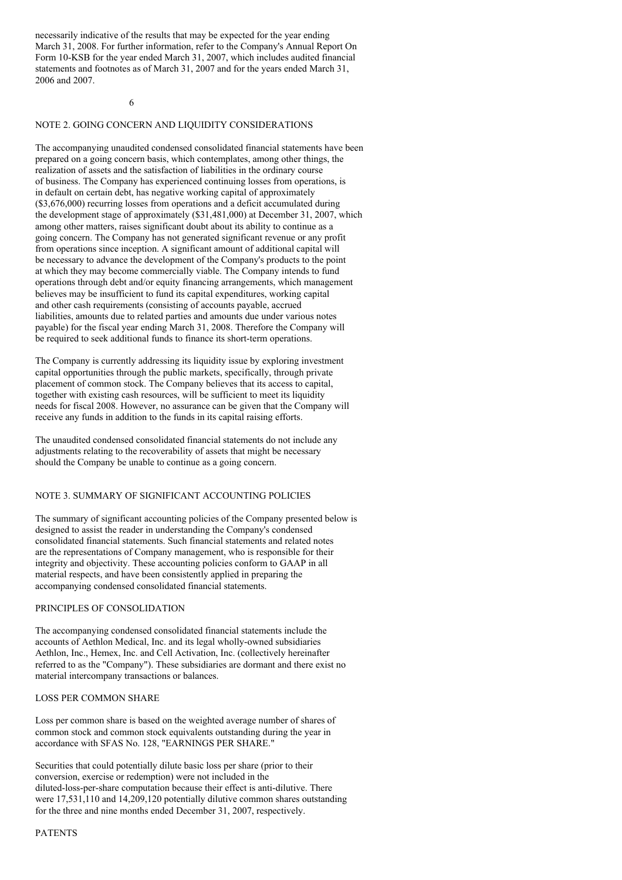necessarily indicative of the results that may be expected for the year ending March 31, 2008. For further information, refer to the Company's Annual Report On Form 10-KSB for the year ended March 31, 2007, which includes audited financial statements and footnotes as of March 31, 2007 and for the years ended March 31, 2006 and 2007.

#### 6

#### NOTE 2. GOING CONCERN AND LIQUIDITY CONSIDERATIONS

The accompanying unaudited condensed consolidated financial statements have been prepared on a going concern basis, which contemplates, among other things, the realization of assets and the satisfaction of liabilities in the ordinary course of business. The Company has experienced continuing losses from operations, is in default on certain debt, has negative working capital of approximately (\$3,676,000) recurring losses from operations and a deficit accumulated during the development stage of approximately (\$31,481,000) at December 31, 2007, which among other matters, raises significant doubt about its ability to continue as a going concern. The Company has not generated significant revenue or any profit from operations since inception. A significant amount of additional capital will be necessary to advance the development of the Company's products to the point at which they may become commercially viable. The Company intends to fund operations through debt and/or equity financing arrangements, which management believes may be insufficient to fund its capital expenditures, working capital and other cash requirements (consisting of accounts payable, accrued liabilities, amounts due to related parties and amounts due under various notes payable) for the fiscal year ending March 31, 2008. Therefore the Company will be required to seek additional funds to finance its short-term operations.

The Company is currently addressing its liquidity issue by exploring investment capital opportunities through the public markets, specifically, through private placement of common stock. The Company believes that its access to capital, together with existing cash resources, will be sufficient to meet its liquidity needs for fiscal 2008. However, no assurance can be given that the Company will receive any funds in addition to the funds in its capital raising efforts.

The unaudited condensed consolidated financial statements do not include any adjustments relating to the recoverability of assets that might be necessary should the Company be unable to continue as a going concern.

## NOTE 3. SUMMARY OF SIGNIFICANT ACCOUNTING POLICIES

The summary of significant accounting policies of the Company presented below is designed to assist the reader in understanding the Company's condensed consolidated financial statements. Such financial statements and related notes are the representations of Company management, who is responsible for their integrity and objectivity. These accounting policies conform to GAAP in all material respects, and have been consistently applied in preparing the accompanying condensed consolidated financial statements.

### PRINCIPLES OF CONSOLIDATION

The accompanying condensed consolidated financial statements include the accounts of Aethlon Medical, Inc. and its legal wholly-owned subsidiaries Aethlon, Inc., Hemex, Inc. and Cell Activation, Inc. (collectively hereinafter referred to as the "Company"). These subsidiaries are dormant and there exist no material intercompany transactions or balances.

### LOSS PER COMMON SHARE

Loss per common share is based on the weighted average number of shares of common stock and common stock equivalents outstanding during the year in accordance with SFAS No. 128, "EARNINGS PER SHARE."

Securities that could potentially dilute basic loss per share (prior to their conversion, exercise or redemption) were not included in the diluted-loss-per-share computation because their effect is anti-dilutive. There were 17,531,110 and 14,209,120 potentially dilutive common shares outstanding for the three and nine months ended December 31, 2007, respectively.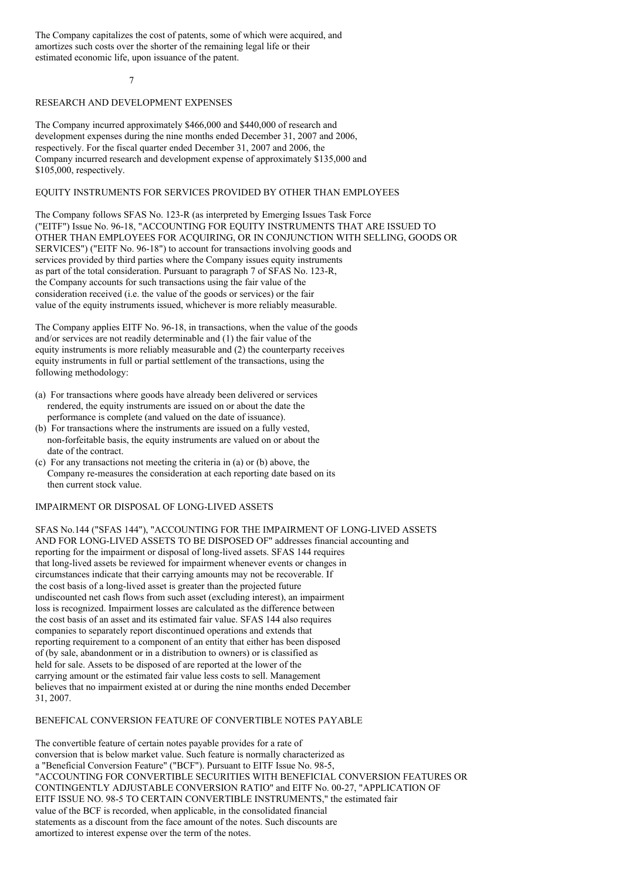The Company capitalizes the cost of patents, some of which were acquired, and amortizes such costs over the shorter of the remaining legal life or their estimated economic life, upon issuance of the patent.

7

### RESEARCH AND DEVELOPMENT EXPENSES

The Company incurred approximately \$466,000 and \$440,000 of research and development expenses during the nine months ended December 31, 2007 and 2006, respectively. For the fiscal quarter ended December 31, 2007 and 2006, the Company incurred research and development expense of approximately \$135,000 and \$105,000, respectively.

## EQUITY INSTRUMENTS FOR SERVICES PROVIDED BY OTHER THAN EMPLOYEES

The Company follows SFAS No. 123-R (as interpreted by Emerging Issues Task Force ("EITF") Issue No. 96-18, "ACCOUNTING FOR EQUITY INSTRUMENTS THAT ARE ISSUED TO OTHER THAN EMPLOYEES FOR ACQUIRING, OR IN CONJUNCTION WITH SELLING, GOODS OR SERVICES") ("EITF No. 96-18") to account for transactions involving goods and services provided by third parties where the Company issues equity instruments as part of the total consideration. Pursuant to paragraph 7 of SFAS No. 123-R, the Company accounts for such transactions using the fair value of the consideration received (i.e. the value of the goods or services) or the fair value of the equity instruments issued, whichever is more reliably measurable.

The Company applies EITF No. 96-18, in transactions, when the value of the goods and/or services are not readily determinable and (1) the fair value of the equity instruments is more reliably measurable and (2) the counterparty receives equity instruments in full or partial settlement of the transactions, using the following methodology:

- (a) For transactions where goods have already been delivered or services rendered, the equity instruments are issued on or about the date the performance is complete (and valued on the date of issuance).
- (b) For transactions where the instruments are issued on a fully vested, non-forfeitable basis, the equity instruments are valued on or about the date of the contract.
- (c) For any transactions not meeting the criteria in (a) or (b) above, the Company re-measures the consideration at each reporting date based on its then current stock value.

#### IMPAIRMENT OR DISPOSAL OF LONG-LIVED ASSETS

SFAS No.144 ("SFAS 144"), "ACCOUNTING FOR THE IMPAIRMENT OF LONG-LIVED ASSETS AND FOR LONG-LIVED ASSETS TO BE DISPOSED OF" addresses financial accounting and reporting for the impairment or disposal of long-lived assets. SFAS 144 requires that long-lived assets be reviewed for impairment whenever events or changes in circumstances indicate that their carrying amounts may not be recoverable. If the cost basis of a long-lived asset is greater than the projected future undiscounted net cash flows from such asset (excluding interest), an impairment loss is recognized. Impairment losses are calculated as the difference between the cost basis of an asset and its estimated fair value. SFAS 144 also requires companies to separately report discontinued operations and extends that reporting requirement to a component of an entity that either has been disposed of (by sale, abandonment or in a distribution to owners) or is classified as held for sale. Assets to be disposed of are reported at the lower of the carrying amount or the estimated fair value less costs to sell. Management believes that no impairment existed at or during the nine months ended December 31, 2007.

## BENEFICAL CONVERSION FEATURE OF CONVERTIBLE NOTES PAYABLE

The convertible feature of certain notes payable provides for a rate of conversion that is below market value. Such feature is normally characterized as a "Beneficial Conversion Feature" ("BCF"). Pursuant to EITF Issue No. 98-5, "ACCOUNTING FOR CONVERTIBLE SECURITIES WITH BENEFICIAL CONVERSION FEATURES OR CONTINGENTLY ADJUSTABLE CONVERSION RATIO" and EITF No. 00-27, "APPLICATION OF EITF ISSUE NO. 98-5 TO CERTAIN CONVERTIBLE INSTRUMENTS," the estimated fair value of the BCF is recorded, when applicable, in the consolidated financial statements as a discount from the face amount of the notes. Such discounts are amortized to interest expense over the term of the notes.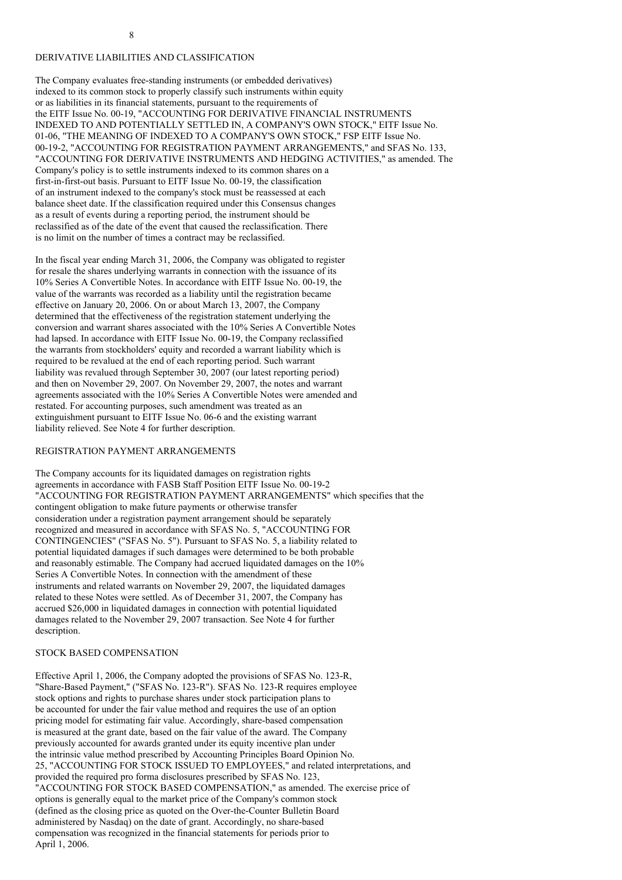# DERIVATIVE LIABILITIES AND CLASSIFICATION

The Company evaluates free-standing instruments (or embedded derivatives) indexed to its common stock to properly classify such instruments within equity or as liabilities in its financial statements, pursuant to the requirements of the EITF Issue No. 00-19, "ACCOUNTING FOR DERIVATIVE FINANCIAL INSTRUMENTS INDEXED TO AND POTENTIALLY SETTLED IN, A COMPANY'S OWN STOCK," EITF Issue No. 01-06, "THE MEANING OF INDEXED TO A COMPANY'S OWN STOCK," FSP EITF Issue No. 00-19-2, "ACCOUNTING FOR REGISTRATION PAYMENT ARRANGEMENTS," and SFAS No. 133, "ACCOUNTING FOR DERIVATIVE INSTRUMENTS AND HEDGING ACTIVITIES," as amended. The Company's policy is to settle instruments indexed to its common shares on a first-in-first-out basis. Pursuant to EITF Issue No. 00-19, the classification of an instrument indexed to the company's stock must be reassessed at each balance sheet date. If the classification required under this Consensus changes as a result of events during a reporting period, the instrument should be reclassified as of the date of the event that caused the reclassification. There is no limit on the number of times a contract may be reclassified.

In the fiscal year ending March 31, 2006, the Company was obligated to register for resale the shares underlying warrants in connection with the issuance of its 10% Series A Convertible Notes. In accordance with EITF Issue No. 00-19, the value of the warrants was recorded as a liability until the registration became effective on January 20, 2006. On or about March 13, 2007, the Company determined that the effectiveness of the registration statement underlying the conversion and warrant shares associated with the 10% Series A Convertible Notes had lapsed. In accordance with EITF Issue No. 00-19, the Company reclassified the warrants from stockholders' equity and recorded a warrant liability which is required to be revalued at the end of each reporting period. Such warrant liability was revalued through September 30, 2007 (our latest reporting period) and then on November 29, 2007. On November 29, 2007, the notes and warrant agreements associated with the 10% Series A Convertible Notes were amended and restated. For accounting purposes, such amendment was treated as an extinguishment pursuant to EITF Issue No. 06-6 and the existing warrant liability relieved. See Note 4 for further description.

### REGISTRATION PAYMENT ARRANGEMENTS

The Company accounts for its liquidated damages on registration rights agreements in accordance with FASB Staff Position EITF Issue No. 00-19-2 "ACCOUNTING FOR REGISTRATION PAYMENT ARRANGEMENTS" which specifies that the contingent obligation to make future payments or otherwise transfer consideration under a registration payment arrangement should be separately recognized and measured in accordance with SFAS No. 5, "ACCOUNTING FOR CONTINGENCIES" ("SFAS No. 5"). Pursuant to SFAS No. 5, a liability related to potential liquidated damages if such damages were determined to be both probable and reasonably estimable. The Company had accrued liquidated damages on the 10% Series A Convertible Notes. In connection with the amendment of these instruments and related warrants on November 29, 2007, the liquidated damages related to these Notes were settled. As of December 31, 2007, the Company has accrued \$26,000 in liquidated damages in connection with potential liquidated damages related to the November 29, 2007 transaction. See Note 4 for further description.

### STOCK BASED COMPENSATION

Effective April 1, 2006, the Company adopted the provisions of SFAS No. 123-R, "Share-Based Payment," ("SFAS No. 123-R"). SFAS No. 123-R requires employee stock options and rights to purchase shares under stock participation plans to be accounted for under the fair value method and requires the use of an option pricing model for estimating fair value. Accordingly, share-based compensation is measured at the grant date, based on the fair value of the award. The Company previously accounted for awards granted under its equity incentive plan under the intrinsic value method prescribed by Accounting Principles Board Opinion No. 25, "ACCOUNTING FOR STOCK ISSUED TO EMPLOYEES," and related interpretations, and provided the required pro forma disclosures prescribed by SFAS No. 123, "ACCOUNTING FOR STOCK BASED COMPENSATION," as amended. The exercise price of options is generally equal to the market price of the Company's common stock (defined as the closing price as quoted on the Over-the-Counter Bulletin Board administered by Nasdaq) on the date of grant. Accordingly, no share-based compensation was recognized in the financial statements for periods prior to April 1, 2006.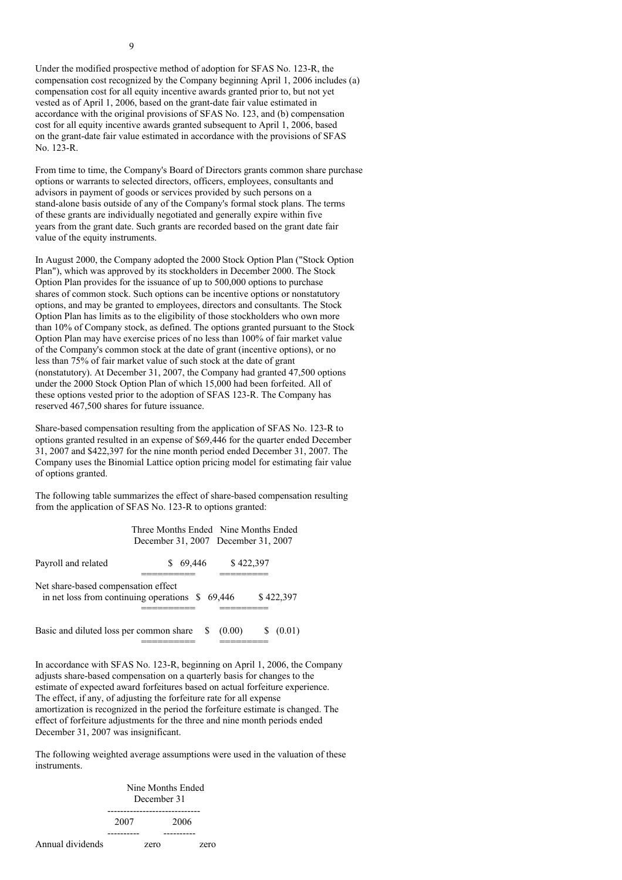Under the modified prospective method of adoption for SFAS No. 123-R, the compensation cost recognized by the Company beginning April 1, 2006 includes (a) compensation cost for all equity incentive awards granted prior to, but not yet vested as of April 1, 2006, based on the grant-date fair value estimated in accordance with the original provisions of SFAS No. 123, and (b) compensation cost for all equity incentive awards granted subsequent to April 1, 2006, based on the grant-date fair value estimated in accordance with the provisions of SFAS No. 123-R.

From time to time, the Company's Board of Directors grants common share purchase options or warrants to selected directors, officers, employees, consultants and advisors in payment of goods or services provided by such persons on a stand-alone basis outside of any of the Company's formal stock plans. The terms of these grants are individually negotiated and generally expire within five years from the grant date. Such grants are recorded based on the grant date fair value of the equity instruments.

In August 2000, the Company adopted the 2000 Stock Option Plan ("Stock Option Plan"), which was approved by its stockholders in December 2000. The Stock Option Plan provides for the issuance of up to 500,000 options to purchase shares of common stock. Such options can be incentive options or nonstatutory options, and may be granted to employees, directors and consultants. The Stock Option Plan has limits as to the eligibility of those stockholders who own more than 10% of Company stock, as defined. The options granted pursuant to the Stock Option Plan may have exercise prices of no less than 100% of fair market value of the Company's common stock at the date of grant (incentive options), or no less than 75% of fair market value of such stock at the date of grant (nonstatutory). At December 31, 2007, the Company had granted 47,500 options under the 2000 Stock Option Plan of which 15,000 had been forfeited. All of these options vested prior to the adoption of SFAS 123-R. The Company has reserved 467,500 shares for future issuance.

Share-based compensation resulting from the application of SFAS No. 123-R to options granted resulted in an expense of \$69,446 for the quarter ended December 31, 2007 and \$422,397 for the nine month period ended December 31, 2007. The Company uses the Binomial Lattice option pricing model for estimating fair value of options granted.

The following table summarizes the effect of share-based compensation resulting from the application of SFAS No. 123-R to options granted:

|                                         | December 31, 2007 December 31, 2007                         | Three Months Ended Nine Months Ended |
|-----------------------------------------|-------------------------------------------------------------|--------------------------------------|
| Payroll and related                     | 69,446                                                      | \$422,397                            |
| Net share-based compensation effect     | in net loss from continuing operations $\frac{1}{2}$ 69,446 | \$422,397                            |
| Basic and diluted loss per common share |                                                             | (0.01)<br>(0.00)                     |

In accordance with SFAS No. 123-R, beginning on April 1, 2006, the Company adjusts share-based compensation on a quarterly basis for changes to the estimate of expected award forfeitures based on actual forfeiture experience. The effect, if any, of adjusting the forfeiture rate for all expense amortization is recognized in the period the forfeiture estimate is changed. The effect of forfeiture adjustments for the three and nine month periods ended December 31, 2007 was insignificant.

========== =========

The following weighted average assumptions were used in the valuation of these instruments.

|                  | Nine Months Ended<br>December 31 |      |      |
|------------------|----------------------------------|------|------|
|                  | 2007                             | 2006 |      |
|                  |                                  |      |      |
| Annual dividends |                                  | zero | zero |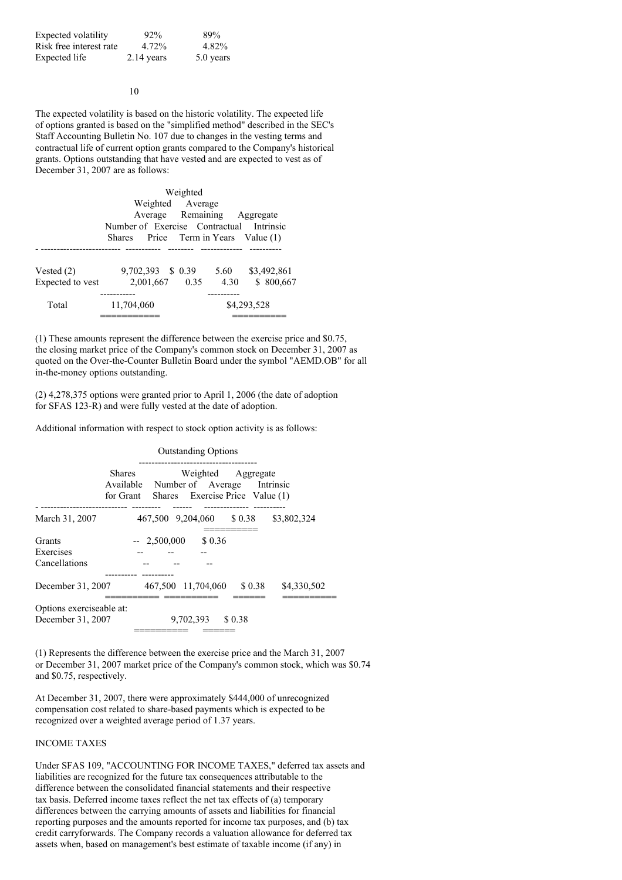| Expected volatility     | 92%          | 89%       |
|-------------------------|--------------|-----------|
| Risk free interest rate | $4.72\%$     | 4.82%     |
| Expected life           | $2.14$ years | 5.0 years |

10

The expected volatility is based on the historic volatility. The expected life of options granted is based on the "simplified method" described in the SEC's Staff Accounting Bulletin No. 107 due to changes in the vesting terms and contractual life of current option grants compared to the Company's historical grants. Options outstanding that have vested and are expected to vest as of December 31, 2007 are as follows:

|                  |                                          | Weighted |        |             |
|------------------|------------------------------------------|----------|--------|-------------|
|                  | Weighted Average                         |          |        |             |
|                  | Average Remaining Aggregate              |          |        |             |
|                  | Number of Exercise Contractual Intrinsic |          |        |             |
|                  | Shares Price Term in Years Value (1)     |          |        |             |
|                  |                                          |          |        |             |
| Vested $(2)$     | 9,702,393 \$ 0.39                        |          | 5.60   | \$3,492,861 |
| Expected to vest | 2,001,667                                | 0.35     | 4.30   | \$800,667   |
|                  | --------                                 |          | ------ |             |
| Total            | 11,704,060                               |          |        | \$4,293,528 |
|                  |                                          |          |        |             |

(1) These amounts represent the difference between the exercise price and \$0.75, the closing market price of the Company's common stock on December 31, 2007 as quoted on the Over-the-Counter Bulletin Board under the symbol "AEMD.OB" for all in-the-money options outstanding.

(2) 4,278,375 options were granted prior to April 1, 2006 (the date of adoption for SFAS 123-R) and were fully vested at the date of adoption.

Additional information with respect to stock option activity is as follows:

| <b>Outstanding Options</b>                    |                                                                                                                    |  |
|-----------------------------------------------|--------------------------------------------------------------------------------------------------------------------|--|
|                                               | Shares<br>Weighted Aggregate<br>Available Number of Average Intrinsic<br>for Grant Shares Exercise Price Value (1) |  |
| March 31, 2007                                | 467,500 9,204,060 \$ 0.38 \$3,802,324                                                                              |  |
| Grants<br>Exercises<br>Cancellations          | $-2,500,000$<br>\$0.36                                                                                             |  |
| December 31, 2007                             | 467,500 11,704,060<br>\$0.38<br>\$4,330,502                                                                        |  |
| Options exerciseable at:<br>December 31, 2007 | 9.702.393<br>\$0.38                                                                                                |  |

(1) Represents the difference between the exercise price and the March 31, 2007 or December 31, 2007 market price of the Company's common stock, which was \$0.74 and \$0.75, respectively.

At December 31, 2007, there were approximately \$444,000 of unrecognized compensation cost related to share-based payments which is expected to be recognized over a weighted average period of 1.37 years.

## INCOME TAXES

Under SFAS 109, "ACCOUNTING FOR INCOME TAXES," deferred tax assets and liabilities are recognized for the future tax consequences attributable to the difference between the consolidated financial statements and their respective tax basis. Deferred income taxes reflect the net tax effects of (a) temporary differences between the carrying amounts of assets and liabilities for financial reporting purposes and the amounts reported for income tax purposes, and (b) tax credit carryforwards. The Company records a valuation allowance for deferred tax assets when, based on management's best estimate of taxable income (if any) in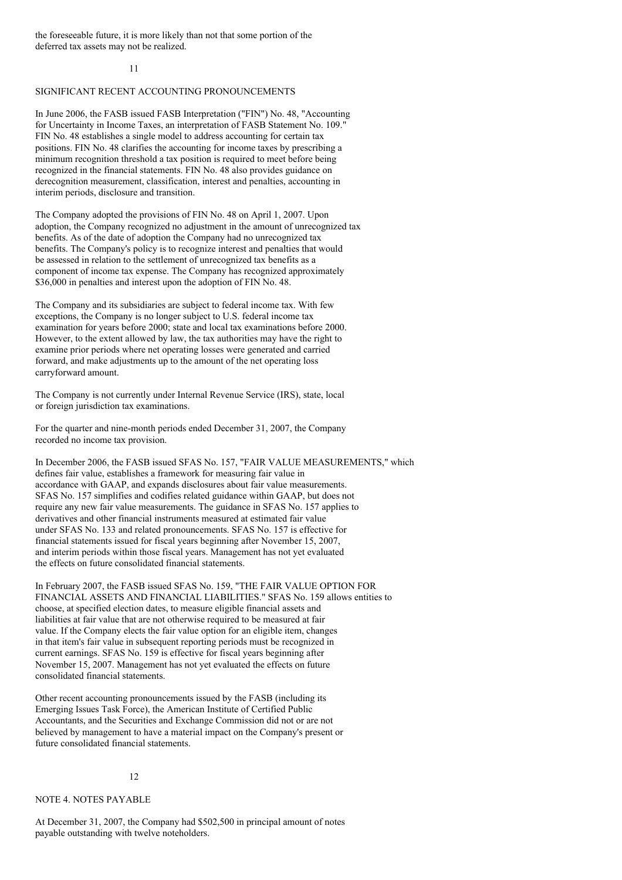the foreseeable future, it is more likely than not that some portion of the deferred tax assets may not be realized.

11

## SIGNIFICANT RECENT ACCOUNTING PRONOUNCEMENTS

In June 2006, the FASB issued FASB Interpretation ("FIN") No. 48, "Accounting for Uncertainty in Income Taxes, an interpretation of FASB Statement No. 109." FIN No. 48 establishes a single model to address accounting for certain tax positions. FIN No. 48 clarifies the accounting for income taxes by prescribing a minimum recognition threshold a tax position is required to meet before being recognized in the financial statements. FIN No. 48 also provides guidance on derecognition measurement, classification, interest and penalties, accounting in interim periods, disclosure and transition.

The Company adopted the provisions of FIN No. 48 on April 1, 2007. Upon adoption, the Company recognized no adjustment in the amount of unrecognized tax benefits. As of the date of adoption the Company had no unrecognized tax benefits. The Company's policy is to recognize interest and penalties that would be assessed in relation to the settlement of unrecognized tax benefits as a component of income tax expense. The Company has recognized approximately \$36,000 in penalties and interest upon the adoption of FIN No. 48.

The Company and its subsidiaries are subject to federal income tax. With few exceptions, the Company is no longer subject to U.S. federal income tax examination for years before 2000; state and local tax examinations before 2000. However, to the extent allowed by law, the tax authorities may have the right to examine prior periods where net operating losses were generated and carried forward, and make adjustments up to the amount of the net operating loss carryforward amount.

The Company is not currently under Internal Revenue Service (IRS), state, local or foreign jurisdiction tax examinations.

For the quarter and nine-month periods ended December 31, 2007, the Company recorded no income tax provision.

In December 2006, the FASB issued SFAS No. 157, "FAIR VALUE MEASUREMENTS," which defines fair value, establishes a framework for measuring fair value in accordance with GAAP, and expands disclosures about fair value measurements. SFAS No. 157 simplifies and codifies related guidance within GAAP, but does not require any new fair value measurements. The guidance in SFAS No. 157 applies to derivatives and other financial instruments measured at estimated fair value under SFAS No. 133 and related pronouncements. SFAS No. 157 is effective for financial statements issued for fiscal years beginning after November 15, 2007, and interim periods within those fiscal years. Management has not yet evaluated the effects on future consolidated financial statements.

In February 2007, the FASB issued SFAS No. 159, "THE FAIR VALUE OPTION FOR FINANCIAL ASSETS AND FINANCIAL LIABILITIES." SFAS No. 159 allows entities to choose, at specified election dates, to measure eligible financial assets and liabilities at fair value that are not otherwise required to be measured at fair value. If the Company elects the fair value option for an eligible item, changes in that item's fair value in subsequent reporting periods must be recognized in current earnings. SFAS No. 159 is effective for fiscal years beginning after November 15, 2007. Management has not yet evaluated the effects on future consolidated financial statements.

Other recent accounting pronouncements issued by the FASB (including its Emerging Issues Task Force), the American Institute of Certified Public Accountants, and the Securities and Exchange Commission did not or are not believed by management to have a material impact on the Company's present or future consolidated financial statements.

 $12$ 

NOTE 4. NOTES PAYABLE

At December 31, 2007, the Company had \$502,500 in principal amount of notes payable outstanding with twelve noteholders.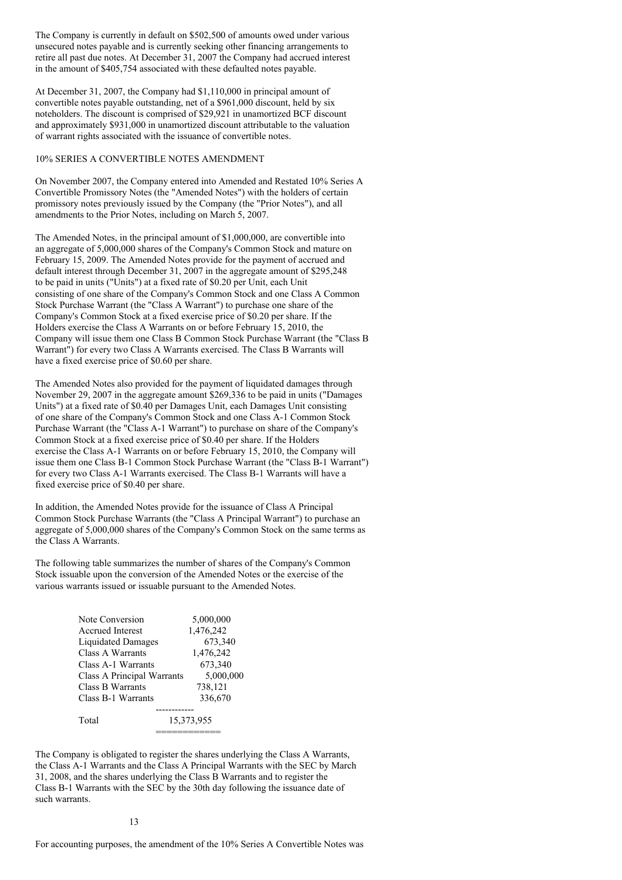The Company is currently in default on \$502,500 of amounts owed under various unsecured notes payable and is currently seeking other financing arrangements to retire all past due notes. At December 31, 2007 the Company had accrued interest in the amount of \$405,754 associated with these defaulted notes payable.

At December 31, 2007, the Company had \$1,110,000 in principal amount of convertible notes payable outstanding, net of a \$961,000 discount, held by six noteholders. The discount is comprised of \$29,921 in unamortized BCF discount and approximately \$931,000 in unamortized discount attributable to the valuation of warrant rights associated with the issuance of convertible notes.

## 10% SERIES A CONVERTIBLE NOTES AMENDMENT

On November 2007, the Company entered into Amended and Restated 10% Series A Convertible Promissory Notes (the "Amended Notes") with the holders of certain promissory notes previously issued by the Company (the "Prior Notes"), and all amendments to the Prior Notes, including on March 5, 2007.

The Amended Notes, in the principal amount of \$1,000,000, are convertible into an aggregate of 5,000,000 shares of the Company's Common Stock and mature on February 15, 2009. The Amended Notes provide for the payment of accrued and default interest through December 31, 2007 in the aggregate amount of \$295,248 to be paid in units ("Units") at a fixed rate of \$0.20 per Unit, each Unit consisting of one share of the Company's Common Stock and one Class A Common Stock Purchase Warrant (the "Class A Warrant") to purchase one share of the Company's Common Stock at a fixed exercise price of \$0.20 per share. If the Holders exercise the Class A Warrants on or before February 15, 2010, the Company will issue them one Class B Common Stock Purchase Warrant (the "Class B Warrant") for every two Class A Warrants exercised. The Class B Warrants will have a fixed exercise price of \$0.60 per share.

The Amended Notes also provided for the payment of liquidated damages through November 29, 2007 in the aggregate amount \$269,336 to be paid in units ("Damages Units") at a fixed rate of \$0.40 per Damages Unit, each Damages Unit consisting of one share of the Company's Common Stock and one Class A-1 Common Stock Purchase Warrant (the "Class A-1 Warrant") to purchase on share of the Company's Common Stock at a fixed exercise price of \$0.40 per share. If the Holders exercise the Class A-1 Warrants on or before February 15, 2010, the Company will issue them one Class B-1 Common Stock Purchase Warrant (the "Class B-1 Warrant") for every two Class A-1 Warrants exercised. The Class B-1 Warrants will have a fixed exercise price of \$0.40 per share.

In addition, the Amended Notes provide for the issuance of Class A Principal Common Stock Purchase Warrants (the "Class A Principal Warrant") to purchase an aggregate of 5,000,000 shares of the Company's Common Stock on the same terms as the Class A Warrants.

The following table summarizes the number of shares of the Company's Common Stock issuable upon the conversion of the Amended Notes or the exercise of the various warrants issued or issuable pursuant to the Amended Notes.

| Note Conversion            | 5,000,000  |  |
|----------------------------|------------|--|
| <b>Accrued Interest</b>    | 1,476,242  |  |
| Liquidated Damages         | 673,340    |  |
| Class A Warrants           | 1,476,242  |  |
| Class A-1 Warrants         | 673,340    |  |
| Class A Principal Warrants | 5,000,000  |  |
| Class B Warrants           | 738,121    |  |
| Class B-1 Warrants         | 336,670    |  |
|                            |            |  |
| Total                      | 15,373,955 |  |
|                            |            |  |

The Company is obligated to register the shares underlying the Class A Warrants, the Class A-1 Warrants and the Class A Principal Warrants with the SEC by March 31, 2008, and the shares underlying the Class B Warrants and to register the Class B-1 Warrants with the SEC by the 30th day following the issuance date of such warrants.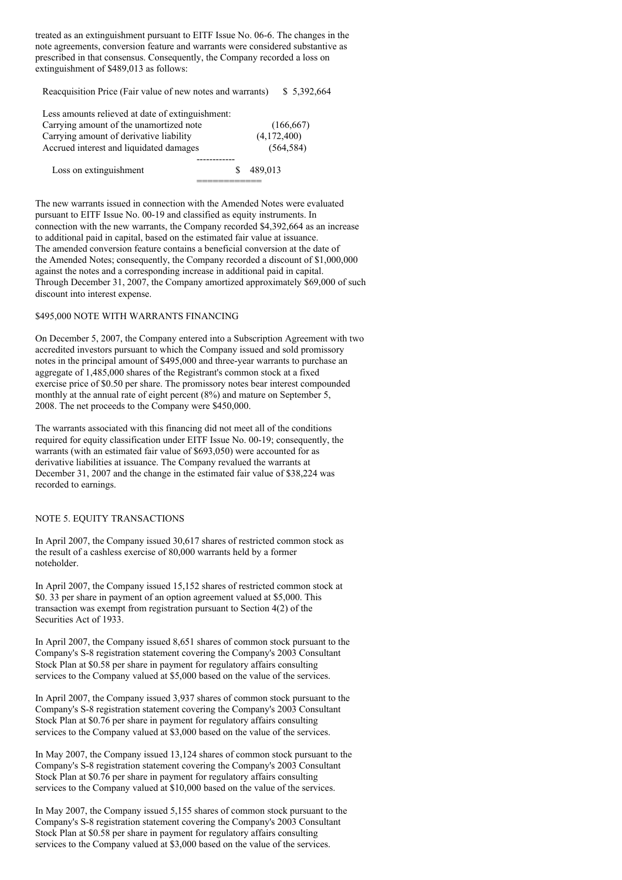treated as an extinguishment pursuant to EITF Issue No. 06-6. The changes in the note agreements, conversion feature and warrants were considered substantive as prescribed in that consensus. Consequently, the Company recorded a loss on extinguishment of \$489,013 as follows:

Reacquisition Price (Fair value of new notes and warrants) \$ 5,392,664

| Less amounts relieved at date of extinguishment: |             |
|--------------------------------------------------|-------------|
| Carrying amount of the unamortized note          | (166, 667)  |
| Carrying amount of derivative liability          | (4,172,400) |
| Accrued interest and liquidated damages          | (564, 584)  |
|                                                  |             |
| Loss on extinguishment                           | 489.013     |
|                                                  |             |

The new warrants issued in connection with the Amended Notes were evaluated pursuant to EITF Issue No. 00-19 and classified as equity instruments. In connection with the new warrants, the Company recorded \$4,392,664 as an increase to additional paid in capital, based on the estimated fair value at issuance. The amended conversion feature contains a beneficial conversion at the date of the Amended Notes; consequently, the Company recorded a discount of \$1,000,000 against the notes and a corresponding increase in additional paid in capital. Through December 31, 2007, the Company amortized approximately \$69,000 of such discount into interest expense.

### \$495,000 NOTE WITH WARRANTS FINANCING

On December 5, 2007, the Company entered into a Subscription Agreement with two accredited investors pursuant to which the Company issued and sold promissory notes in the principal amount of \$495,000 and three-year warrants to purchase an aggregate of 1,485,000 shares of the Registrant's common stock at a fixed exercise price of \$0.50 per share. The promissory notes bear interest compounded monthly at the annual rate of eight percent (8%) and mature on September 5, 2008. The net proceeds to the Company were \$450,000.

The warrants associated with this financing did not meet all of the conditions required for equity classification under EITF Issue No. 00-19; consequently, the warrants (with an estimated fair value of \$693,050) were accounted for as derivative liabilities at issuance. The Company revalued the warrants at December 31, 2007 and the change in the estimated fair value of \$38,224 was recorded to earnings.

## NOTE 5. EQUITY TRANSACTIONS

In April 2007, the Company issued 30,617 shares of restricted common stock as the result of a cashless exercise of 80,000 warrants held by a former noteholder.

In April 2007, the Company issued 15,152 shares of restricted common stock at \$0. 33 per share in payment of an option agreement valued at \$5,000. This transaction was exempt from registration pursuant to Section 4(2) of the Securities Act of 1933.

In April 2007, the Company issued 8,651 shares of common stock pursuant to the Company's S-8 registration statement covering the Company's 2003 Consultant Stock Plan at \$0.58 per share in payment for regulatory affairs consulting services to the Company valued at \$5,000 based on the value of the services.

In April 2007, the Company issued 3,937 shares of common stock pursuant to the Company's S-8 registration statement covering the Company's 2003 Consultant Stock Plan at \$0.76 per share in payment for regulatory affairs consulting services to the Company valued at \$3,000 based on the value of the services.

In May 2007, the Company issued 13,124 shares of common stock pursuant to the Company's S-8 registration statement covering the Company's 2003 Consultant Stock Plan at \$0.76 per share in payment for regulatory affairs consulting services to the Company valued at \$10,000 based on the value of the services.

In May 2007, the Company issued 5,155 shares of common stock pursuant to the Company's S-8 registration statement covering the Company's 2003 Consultant Stock Plan at \$0.58 per share in payment for regulatory affairs consulting services to the Company valued at \$3,000 based on the value of the services.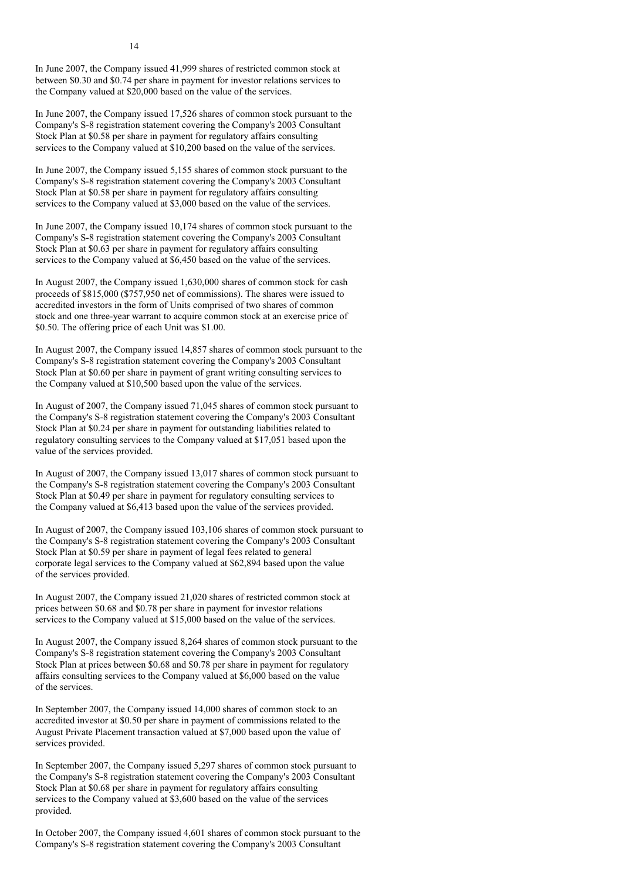In June 2007, the Company issued 41,999 shares of restricted common stock at between \$0.30 and \$0.74 per share in payment for investor relations services to the Company valued at \$20,000 based on the value of the services.

In June 2007, the Company issued 17,526 shares of common stock pursuant to the Company's S-8 registration statement covering the Company's 2003 Consultant Stock Plan at \$0.58 per share in payment for regulatory affairs consulting services to the Company valued at \$10,200 based on the value of the services.

In June 2007, the Company issued 5,155 shares of common stock pursuant to the Company's S-8 registration statement covering the Company's 2003 Consultant Stock Plan at \$0.58 per share in payment for regulatory affairs consulting services to the Company valued at \$3,000 based on the value of the services.

In June 2007, the Company issued 10,174 shares of common stock pursuant to the Company's S-8 registration statement covering the Company's 2003 Consultant Stock Plan at \$0.63 per share in payment for regulatory affairs consulting services to the Company valued at \$6,450 based on the value of the services.

In August 2007, the Company issued 1,630,000 shares of common stock for cash proceeds of \$815,000 (\$757,950 net of commissions). The shares were issued to accredited investors in the form of Units comprised of two shares of common stock and one three-year warrant to acquire common stock at an exercise price of \$0.50. The offering price of each Unit was \$1.00.

In August 2007, the Company issued 14,857 shares of common stock pursuant to the Company's S-8 registration statement covering the Company's 2003 Consultant Stock Plan at \$0.60 per share in payment of grant writing consulting services to the Company valued at \$10,500 based upon the value of the services.

In August of 2007, the Company issued 71,045 shares of common stock pursuant to the Company's S-8 registration statement covering the Company's 2003 Consultant Stock Plan at \$0.24 per share in payment for outstanding liabilities related to regulatory consulting services to the Company valued at \$17,051 based upon the value of the services provided.

In August of 2007, the Company issued 13,017 shares of common stock pursuant to the Company's S-8 registration statement covering the Company's 2003 Consultant Stock Plan at \$0.49 per share in payment for regulatory consulting services to the Company valued at \$6,413 based upon the value of the services provided.

In August of 2007, the Company issued 103,106 shares of common stock pursuant to the Company's S-8 registration statement covering the Company's 2003 Consultant Stock Plan at \$0.59 per share in payment of legal fees related to general corporate legal services to the Company valued at \$62,894 based upon the value of the services provided.

In August 2007, the Company issued 21,020 shares of restricted common stock at prices between \$0.68 and \$0.78 per share in payment for investor relations services to the Company valued at \$15,000 based on the value of the services.

In August 2007, the Company issued 8,264 shares of common stock pursuant to the Company's S-8 registration statement covering the Company's 2003 Consultant Stock Plan at prices between \$0.68 and \$0.78 per share in payment for regulatory affairs consulting services to the Company valued at \$6,000 based on the value of the services.

In September 2007, the Company issued 14,000 shares of common stock to an accredited investor at \$0.50 per share in payment of commissions related to the August Private Placement transaction valued at \$7,000 based upon the value of services provided.

In September 2007, the Company issued 5,297 shares of common stock pursuant to the Company's S-8 registration statement covering the Company's 2003 Consultant Stock Plan at \$0.68 per share in payment for regulatory affairs consulting services to the Company valued at \$3,600 based on the value of the services provided.

In October 2007, the Company issued 4,601 shares of common stock pursuant to the Company's S-8 registration statement covering the Company's 2003 Consultant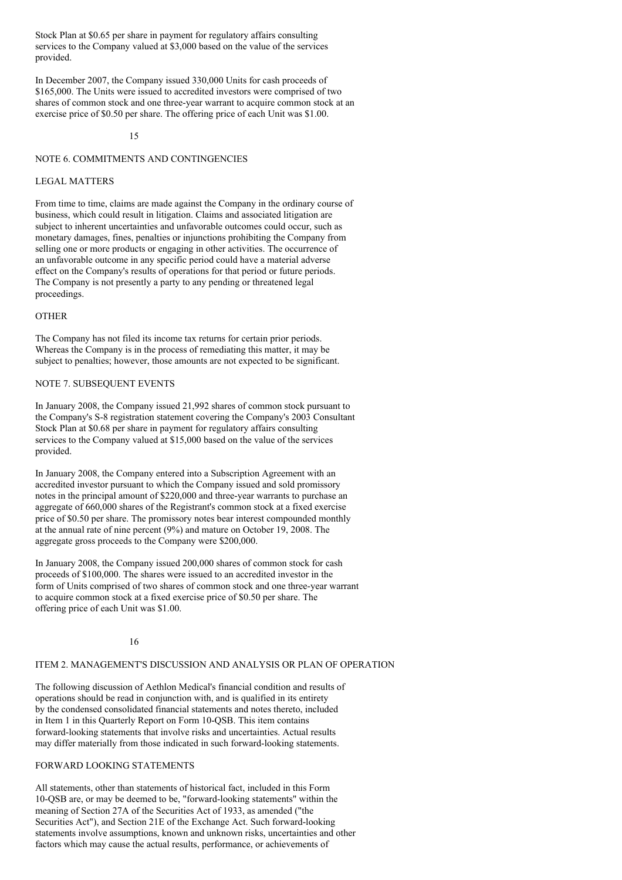Stock Plan at \$0.65 per share in payment for regulatory affairs consulting services to the Company valued at \$3,000 based on the value of the services provided.

In December 2007, the Company issued 330,000 Units for cash proceeds of \$165,000. The Units were issued to accredited investors were comprised of two shares of common stock and one three-year warrant to acquire common stock at an exercise price of \$0.50 per share. The offering price of each Unit was \$1.00.

#### 15

## NOTE 6. COMMITMENTS AND CONTINGENCIES

## LEGAL MATTERS

From time to time, claims are made against the Company in the ordinary course of business, which could result in litigation. Claims and associated litigation are subject to inherent uncertainties and unfavorable outcomes could occur, such as monetary damages, fines, penalties or injunctions prohibiting the Company from selling one or more products or engaging in other activities. The occurrence of an unfavorable outcome in any specific period could have a material adverse effect on the Company's results of operations for that period or future periods. The Company is not presently a party to any pending or threatened legal proceedings.

### OTHER

The Company has not filed its income tax returns for certain prior periods. Whereas the Company is in the process of remediating this matter, it may be subject to penalties; however, those amounts are not expected to be significant.

### NOTE 7. SUBSEQUENT EVENTS

In January 2008, the Company issued 21,992 shares of common stock pursuant to the Company's S-8 registration statement covering the Company's 2003 Consultant Stock Plan at \$0.68 per share in payment for regulatory affairs consulting services to the Company valued at \$15,000 based on the value of the services provided.

In January 2008, the Company entered into a Subscription Agreement with an accredited investor pursuant to which the Company issued and sold promissory notes in the principal amount of \$220,000 and three-year warrants to purchase an aggregate of 660,000 shares of the Registrant's common stock at a fixed exercise price of \$0.50 per share. The promissory notes bear interest compounded monthly at the annual rate of nine percent (9%) and mature on October 19, 2008. The aggregate gross proceeds to the Company were \$200,000.

In January 2008, the Company issued 200,000 shares of common stock for cash proceeds of \$100,000. The shares were issued to an accredited investor in the form of Units comprised of two shares of common stock and one three-year warrant to acquire common stock at a fixed exercise price of \$0.50 per share. The offering price of each Unit was \$1.00.

16

### ITEM 2. MANAGEMENT'S DISCUSSION AND ANALYSIS OR PLAN OF OPERATION

The following discussion of Aethlon Medical's financial condition and results of operations should be read in conjunction with, and is qualified in its entirety by the condensed consolidated financial statements and notes thereto, included in Item 1 in this Quarterly Report on Form 10-QSB. This item contains forward-looking statements that involve risks and uncertainties. Actual results may differ materially from those indicated in such forward-looking statements.

#### FORWARD LOOKING STATEMENTS

All statements, other than statements of historical fact, included in this Form 10-QSB are, or may be deemed to be, "forward-looking statements" within the meaning of Section 27A of the Securities Act of 1933, as amended ("the Securities Act"), and Section 21E of the Exchange Act. Such forward-looking statements involve assumptions, known and unknown risks, uncertainties and other factors which may cause the actual results, performance, or achievements of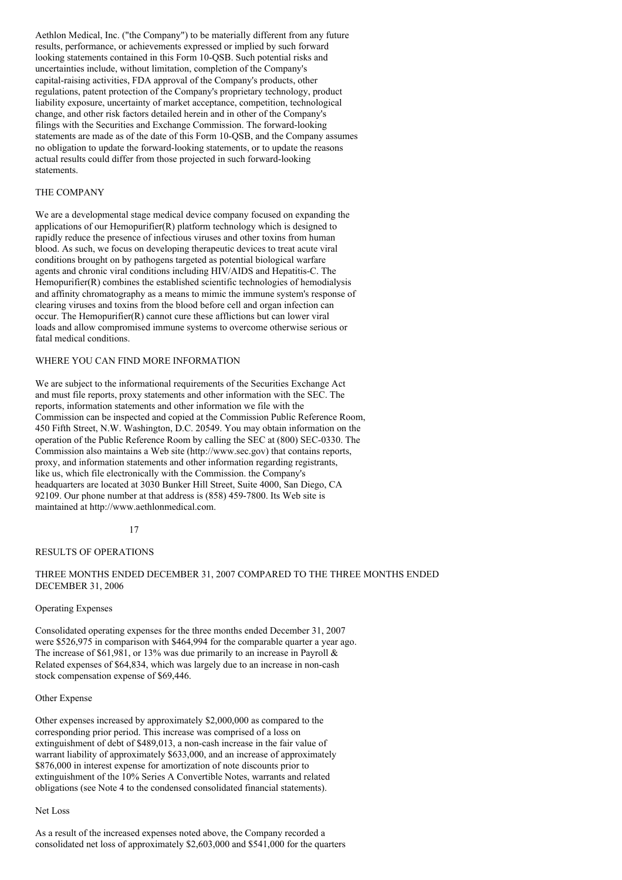Aethlon Medical, Inc. ("the Company") to be materially different from any future results, performance, or achievements expressed or implied by such forward looking statements contained in this Form 10-QSB. Such potential risks and uncertainties include, without limitation, completion of the Company's capital-raising activities, FDA approval of the Company's products, other regulations, patent protection of the Company's proprietary technology, product liability exposure, uncertainty of market acceptance, competition, technological change, and other risk factors detailed herein and in other of the Company's filings with the Securities and Exchange Commission. The forward-looking statements are made as of the date of this Form 10-QSB, and the Company assumes no obligation to update the forward-looking statements, or to update the reasons actual results could differ from those projected in such forward-looking statements.

## THE COMPANY

We are a developmental stage medical device company focused on expanding the applications of our Hemopurifier(R) platform technology which is designed to rapidly reduce the presence of infectious viruses and other toxins from human blood. As such, we focus on developing therapeutic devices to treat acute viral conditions brought on by pathogens targeted as potential biological warfare agents and chronic viral conditions including HIV/AIDS and Hepatitis-C. The Hemopurifier(R) combines the established scientific technologies of hemodialysis and affinity chromatography as a means to mimic the immune system's response of clearing viruses and toxins from the blood before cell and organ infection can occur. The Hemopurifier(R) cannot cure these afflictions but can lower viral loads and allow compromised immune systems to overcome otherwise serious or fatal medical conditions.

## WHERE YOU CAN FIND MORE INFORMATION

We are subject to the informational requirements of the Securities Exchange Act and must file reports, proxy statements and other information with the SEC. The reports, information statements and other information we file with the Commission can be inspected and copied at the Commission Public Reference Room, 450 Fifth Street, N.W. Washington, D.C. 20549. You may obtain information on the operation of the Public Reference Room by calling the SEC at (800) SEC-0330. The Commission also maintains a Web site (http://www.sec.gov) that contains reports, proxy, and information statements and other information regarding registrants, like us, which file electronically with the Commission. the Company's headquarters are located at 3030 Bunker Hill Street, Suite 4000, San Diego, CA 92109. Our phone number at that address is (858) 459-7800. Its Web site is maintained at http://www.aethlonmedical.com.

#### 17

### RESULTS OF OPERATIONS

## THREE MONTHS ENDED DECEMBER 31, 2007 COMPARED TO THE THREE MONTHS ENDED DECEMBER 31, 2006

#### Operating Expenses

Consolidated operating expenses for the three months ended December 31, 2007 were \$526,975 in comparison with \$464,994 for the comparable quarter a year ago. The increase of \$61,981, or 13% was due primarily to an increase in Payroll  $\&$ Related expenses of \$64,834, which was largely due to an increase in non-cash stock compensation expense of \$69,446.

#### Other Expense

Other expenses increased by approximately \$2,000,000 as compared to the corresponding prior period. This increase was comprised of a loss on extinguishment of debt of \$489,013, a non-cash increase in the fair value of warrant liability of approximately \$633,000, and an increase of approximately \$876,000 in interest expense for amortization of note discounts prior to extinguishment of the 10% Series A Convertible Notes, warrants and related obligations (see Note 4 to the condensed consolidated financial statements).

#### Net Loss

As a result of the increased expenses noted above, the Company recorded a consolidated net loss of approximately \$2,603,000 and \$541,000 for the quarters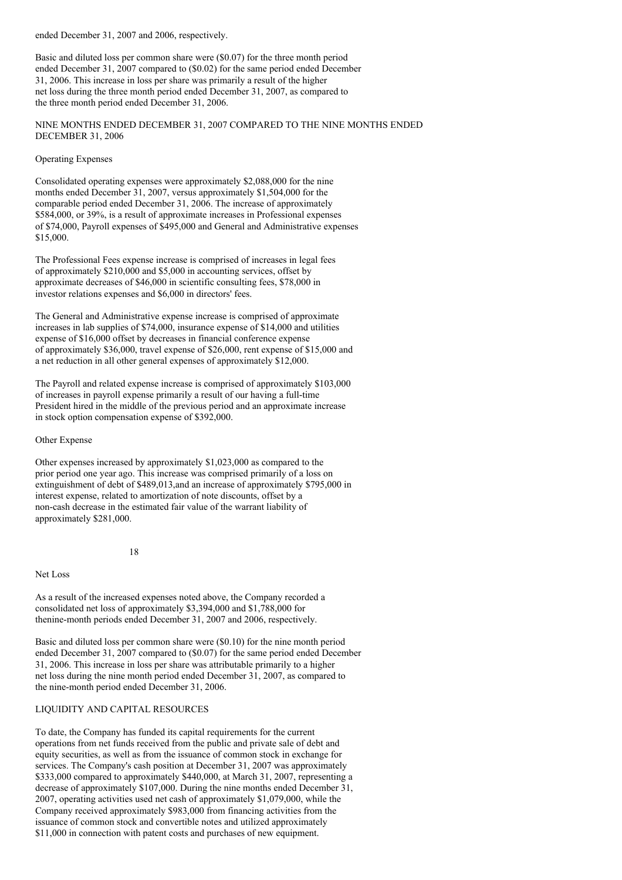ended December 31, 2007 and 2006, respectively.

Basic and diluted loss per common share were (\$0.07) for the three month period ended December 31, 2007 compared to (\$0.02) for the same period ended December 31, 2006. This increase in loss per share was primarily a result of the higher net loss during the three month period ended December 31, 2007, as compared to the three month period ended December 31, 2006.

## NINE MONTHS ENDED DECEMBER 31, 2007 COMPARED TO THE NINE MONTHS ENDED DECEMBER 31, 2006

### Operating Expenses

Consolidated operating expenses were approximately \$2,088,000 for the nine months ended December 31, 2007, versus approximately \$1,504,000 for the comparable period ended December 31, 2006. The increase of approximately \$584,000, or 39%, is a result of approximate increases in Professional expenses of \$74,000, Payroll expenses of \$495,000 and General and Administrative expenses \$15,000.

The Professional Fees expense increase is comprised of increases in legal fees of approximately \$210,000 and \$5,000 in accounting services, offset by approximate decreases of \$46,000 in scientific consulting fees, \$78,000 in investor relations expenses and \$6,000 in directors' fees.

The General and Administrative expense increase is comprised of approximate increases in lab supplies of \$74,000, insurance expense of \$14,000 and utilities expense of \$16,000 offset by decreases in financial conference expense of approximately \$36,000, travel expense of \$26,000, rent expense of \$15,000 and a net reduction in all other general expenses of approximately \$12,000.

The Payroll and related expense increase is comprised of approximately \$103,000 of increases in payroll expense primarily a result of our having a full-time President hired in the middle of the previous period and an approximate increase in stock option compensation expense of \$392,000.

### Other Expense

Other expenses increased by approximately \$1,023,000 as compared to the prior period one year ago. This increase was comprised primarily of a loss on extinguishment of debt of \$489,013,and an increase of approximately \$795,000 in interest expense, related to amortization of note discounts, offset by a non-cash decrease in the estimated fair value of the warrant liability of approximately \$281,000.

18

Net Loss

As a result of the increased expenses noted above, the Company recorded a consolidated net loss of approximately \$3,394,000 and \$1,788,000 for thenine-month periods ended December 31, 2007 and 2006, respectively.

Basic and diluted loss per common share were (\$0.10) for the nine month period ended December 31, 2007 compared to (\$0.07) for the same period ended December 31, 2006. This increase in loss per share was attributable primarily to a higher net loss during the nine month period ended December 31, 2007, as compared to the nine-month period ended December 31, 2006.

## LIQUIDITY AND CAPITAL RESOURCES

To date, the Company has funded its capital requirements for the current operations from net funds received from the public and private sale of debt and equity securities, as well as from the issuance of common stock in exchange for services. The Company's cash position at December 31, 2007 was approximately \$333,000 compared to approximately \$440,000, at March 31, 2007, representing a decrease of approximately \$107,000. During the nine months ended December 31, 2007, operating activities used net cash of approximately \$1,079,000, while the Company received approximately \$983,000 from financing activities from the issuance of common stock and convertible notes and utilized approximately \$11,000 in connection with patent costs and purchases of new equipment.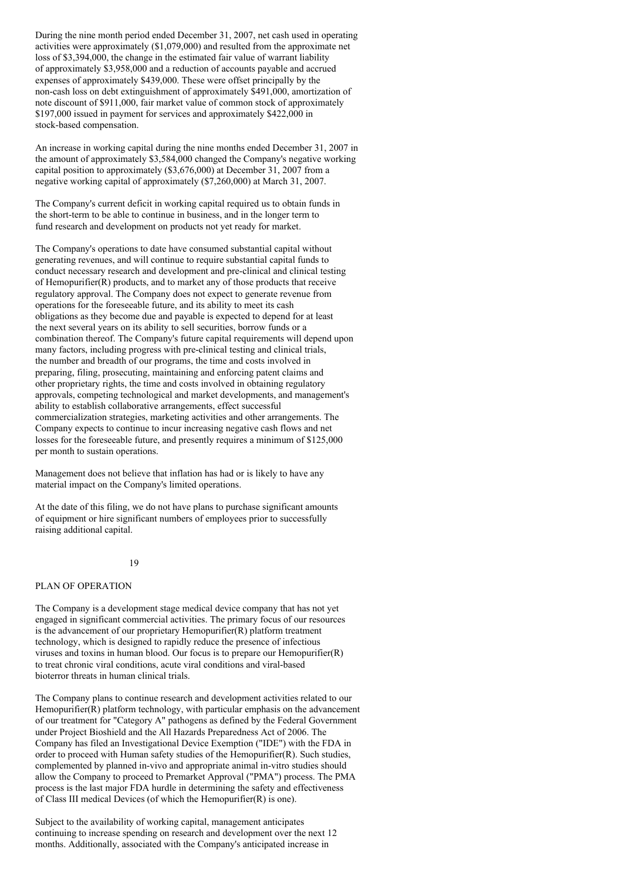During the nine month period ended December 31, 2007, net cash used in operating activities were approximately (\$1,079,000) and resulted from the approximate net loss of \$3,394,000, the change in the estimated fair value of warrant liability of approximately \$3,958,000 and a reduction of accounts payable and accrued expenses of approximately \$439,000. These were offset principally by the non-cash loss on debt extinguishment of approximately \$491,000, amortization of note discount of \$911,000, fair market value of common stock of approximately \$197,000 issued in payment for services and approximately \$422,000 in stock-based compensation.

An increase in working capital during the nine months ended December 31, 2007 in the amount of approximately \$3,584,000 changed the Company's negative working capital position to approximately (\$3,676,000) at December 31, 2007 from a negative working capital of approximately (\$7,260,000) at March 31, 2007.

The Company's current deficit in working capital required us to obtain funds in the short-term to be able to continue in business, and in the longer term to fund research and development on products not yet ready for market.

The Company's operations to date have consumed substantial capital without generating revenues, and will continue to require substantial capital funds to conduct necessary research and development and pre-clinical and clinical testing of Hemopurifier(R) products, and to market any of those products that receive regulatory approval. The Company does not expect to generate revenue from operations for the foreseeable future, and its ability to meet its cash obligations as they become due and payable is expected to depend for at least the next several years on its ability to sell securities, borrow funds or a combination thereof. The Company's future capital requirements will depend upon many factors, including progress with pre-clinical testing and clinical trials, the number and breadth of our programs, the time and costs involved in preparing, filing, prosecuting, maintaining and enforcing patent claims and other proprietary rights, the time and costs involved in obtaining regulatory approvals, competing technological and market developments, and management's ability to establish collaborative arrangements, effect successful commercialization strategies, marketing activities and other arrangements. The Company expects to continue to incur increasing negative cash flows and net losses for the foreseeable future, and presently requires a minimum of \$125,000 per month to sustain operations.

Management does not believe that inflation has had or is likely to have any material impact on the Company's limited operations.

At the date of this filing, we do not have plans to purchase significant amounts of equipment or hire significant numbers of employees prior to successfully raising additional capital.

#### 19

#### PLAN OF OPERATION

The Company is a development stage medical device company that has not yet engaged in significant commercial activities. The primary focus of our resources is the advancement of our proprietary Hemopurifier(R) platform treatment technology, which is designed to rapidly reduce the presence of infectious viruses and toxins in human blood. Our focus is to prepare our Hemopurifier(R) to treat chronic viral conditions, acute viral conditions and viral-based bioterror threats in human clinical trials.

The Company plans to continue research and development activities related to our Hemopurifier(R) platform technology, with particular emphasis on the advancement of our treatment for "Category A" pathogens as defined by the Federal Government under Project Bioshield and the All Hazards Preparedness Act of 2006. The Company has filed an Investigational Device Exemption ("IDE") with the FDA in order to proceed with Human safety studies of the Hemopurifier(R). Such studies, complemented by planned in-vivo and appropriate animal in-vitro studies should allow the Company to proceed to Premarket Approval ("PMA") process. The PMA process is the last major FDA hurdle in determining the safety and effectiveness of Class III medical Devices (of which the Hemopurifier(R) is one).

Subject to the availability of working capital, management anticipates continuing to increase spending on research and development over the next 12 months. Additionally, associated with the Company's anticipated increase in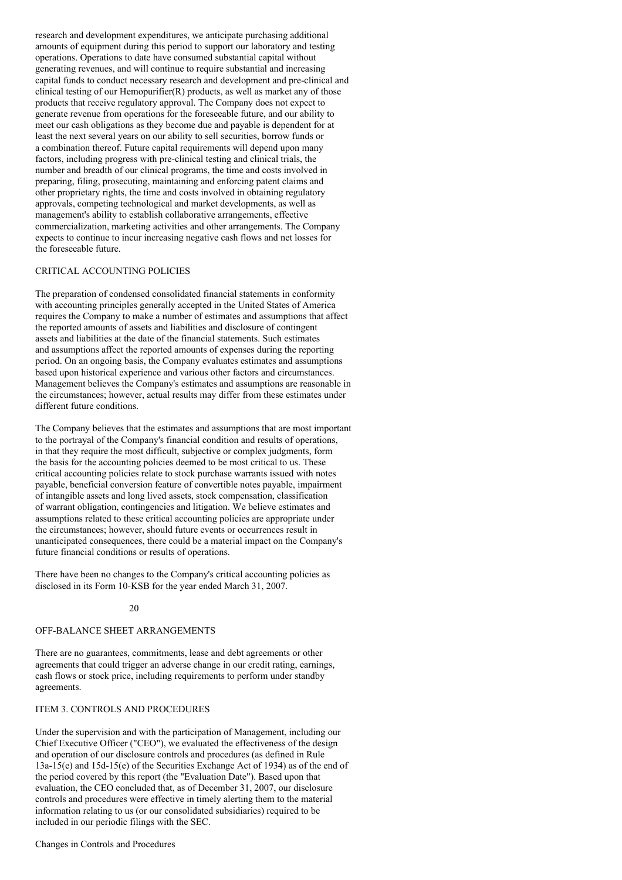research and development expenditures, we anticipate purchasing additional amounts of equipment during this period to support our laboratory and testing operations. Operations to date have consumed substantial capital without generating revenues, and will continue to require substantial and increasing capital funds to conduct necessary research and development and pre-clinical and clinical testing of our Hemopurifier(R) products, as well as market any of those products that receive regulatory approval. The Company does not expect to generate revenue from operations for the foreseeable future, and our ability to meet our cash obligations as they become due and payable is dependent for at least the next several years on our ability to sell securities, borrow funds or a combination thereof. Future capital requirements will depend upon many factors, including progress with pre-clinical testing and clinical trials, the number and breadth of our clinical programs, the time and costs involved in preparing, filing, prosecuting, maintaining and enforcing patent claims and other proprietary rights, the time and costs involved in obtaining regulatory approvals, competing technological and market developments, as well as management's ability to establish collaborative arrangements, effective commercialization, marketing activities and other arrangements. The Company expects to continue to incur increasing negative cash flows and net losses for the foreseeable future.

## CRITICAL ACCOUNTING POLICIES

The preparation of condensed consolidated financial statements in conformity with accounting principles generally accepted in the United States of America requires the Company to make a number of estimates and assumptions that affect the reported amounts of assets and liabilities and disclosure of contingent assets and liabilities at the date of the financial statements. Such estimates and assumptions affect the reported amounts of expenses during the reporting period. On an ongoing basis, the Company evaluates estimates and assumptions based upon historical experience and various other factors and circumstances. Management believes the Company's estimates and assumptions are reasonable in the circumstances; however, actual results may differ from these estimates under different future conditions.

The Company believes that the estimates and assumptions that are most important to the portrayal of the Company's financial condition and results of operations, in that they require the most difficult, subjective or complex judgments, form the basis for the accounting policies deemed to be most critical to us. These critical accounting policies relate to stock purchase warrants issued with notes payable, beneficial conversion feature of convertible notes payable, impairment of intangible assets and long lived assets, stock compensation, classification of warrant obligation, contingencies and litigation. We believe estimates and assumptions related to these critical accounting policies are appropriate under the circumstances; however, should future events or occurrences result in unanticipated consequences, there could be a material impact on the Company's future financial conditions or results of operations.

There have been no changes to the Company's critical accounting policies as disclosed in its Form 10-KSB for the year ended March 31, 2007.

 $20$ 

## OFF-BALANCE SHEET ARRANGEMENTS

There are no guarantees, commitments, lease and debt agreements or other agreements that could trigger an adverse change in our credit rating, earnings, cash flows or stock price, including requirements to perform under standby agreements.

## ITEM 3. CONTROLS AND PROCEDURES

Under the supervision and with the participation of Management, including our Chief Executive Officer ("CEO"), we evaluated the effectiveness of the design and operation of our disclosure controls and procedures (as defined in Rule 13a-15(e) and 15d-15(e) of the Securities Exchange Act of 1934) as of the end of the period covered by this report (the "Evaluation Date"). Based upon that evaluation, the CEO concluded that, as of December 31, 2007, our disclosure controls and procedures were effective in timely alerting them to the material information relating to us (or our consolidated subsidiaries) required to be included in our periodic filings with the SEC.

# Changes in Controls and Procedures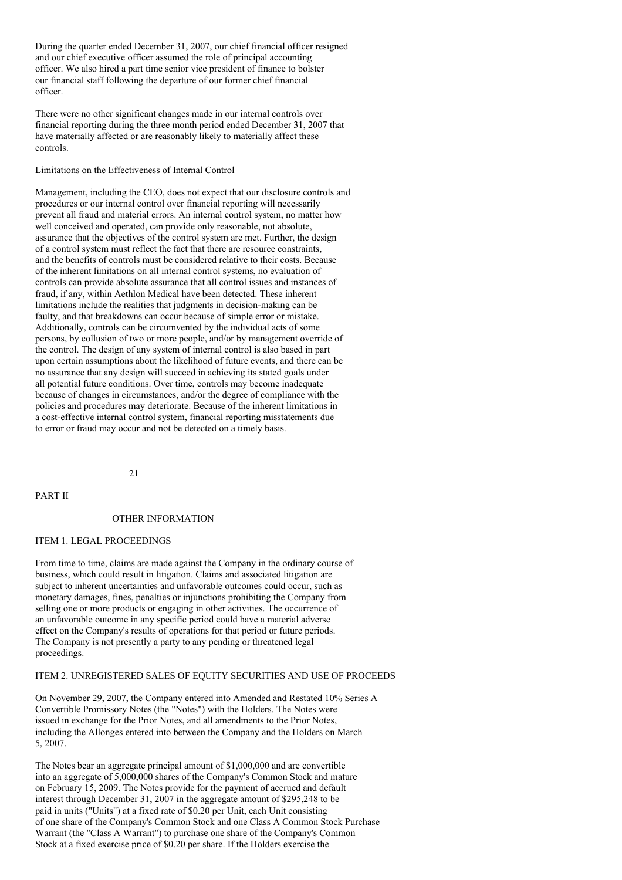During the quarter ended December 31, 2007, our chief financial officer resigned and our chief executive officer assumed the role of principal accounting officer. We also hired a part time senior vice president of finance to bolster our financial staff following the departure of our former chief financial officer.

There were no other significant changes made in our internal controls over financial reporting during the three month period ended December 31, 2007 that have materially affected or are reasonably likely to materially affect these controls.

Limitations on the Effectiveness of Internal Control

Management, including the CEO, does not expect that our disclosure controls and procedures or our internal control over financial reporting will necessarily prevent all fraud and material errors. An internal control system, no matter how well conceived and operated, can provide only reasonable, not absolute, assurance that the objectives of the control system are met. Further, the design of a control system must reflect the fact that there are resource constraints, and the benefits of controls must be considered relative to their costs. Because of the inherent limitations on all internal control systems, no evaluation of controls can provide absolute assurance that all control issues and instances of fraud, if any, within Aethlon Medical have been detected. These inherent limitations include the realities that judgments in decision-making can be faulty, and that breakdowns can occur because of simple error or mistake. Additionally, controls can be circumvented by the individual acts of some persons, by collusion of two or more people, and/or by management override of the control. The design of any system of internal control is also based in part upon certain assumptions about the likelihood of future events, and there can be no assurance that any design will succeed in achieving its stated goals under all potential future conditions. Over time, controls may become inadequate because of changes in circumstances, and/or the degree of compliance with the policies and procedures may deteriorate. Because of the inherent limitations in a cost-effective internal control system, financial reporting misstatements due to error or fraud may occur and not be detected on a timely basis.

21

PART II

## OTHER INFORMATION

## ITEM 1. LEGAL PROCEEDINGS

From time to time, claims are made against the Company in the ordinary course of business, which could result in litigation. Claims and associated litigation are subject to inherent uncertainties and unfavorable outcomes could occur, such as monetary damages, fines, penalties or injunctions prohibiting the Company from selling one or more products or engaging in other activities. The occurrence of an unfavorable outcome in any specific period could have a material adverse effect on the Company's results of operations for that period or future periods. The Company is not presently a party to any pending or threatened legal proceedings.

## ITEM 2. UNREGISTERED SALES OF EQUITY SECURITIES AND USE OF PROCEEDS

On November 29, 2007, the Company entered into Amended and Restated 10% Series A Convertible Promissory Notes (the "Notes") with the Holders. The Notes were issued in exchange for the Prior Notes, and all amendments to the Prior Notes, including the Allonges entered into between the Company and the Holders on March 5, 2007.

The Notes bear an aggregate principal amount of \$1,000,000 and are convertible into an aggregate of 5,000,000 shares of the Company's Common Stock and mature on February 15, 2009. The Notes provide for the payment of accrued and default interest through December 31, 2007 in the aggregate amount of \$295,248 to be paid in units ("Units") at a fixed rate of \$0.20 per Unit, each Unit consisting of one share of the Company's Common Stock and one Class A Common Stock Purchase Warrant (the "Class A Warrant") to purchase one share of the Company's Common Stock at a fixed exercise price of \$0.20 per share. If the Holders exercise the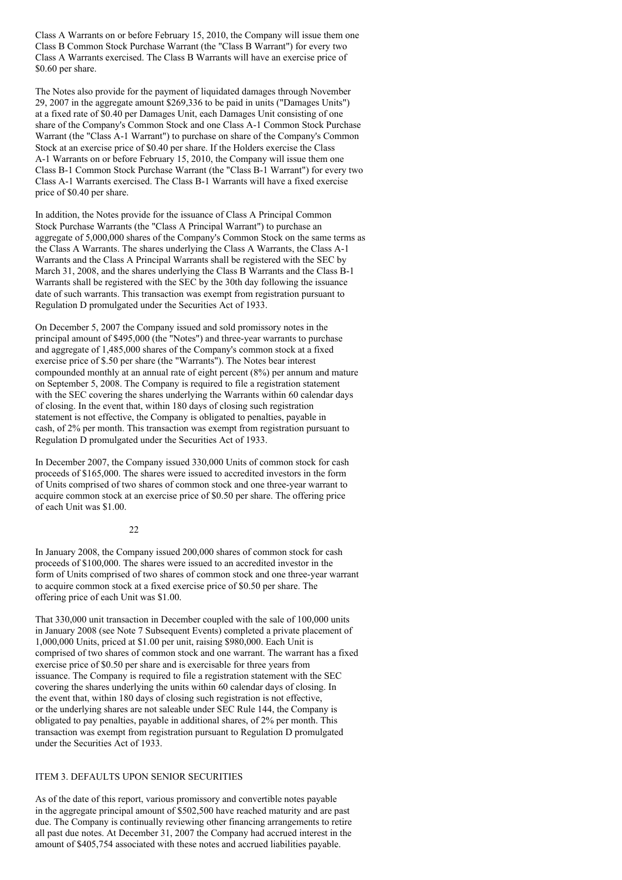Class A Warrants on or before February 15, 2010, the Company will issue them one Class B Common Stock Purchase Warrant (the "Class B Warrant") for every two Class A Warrants exercised. The Class B Warrants will have an exercise price of \$0.60 per share.

The Notes also provide for the payment of liquidated damages through November 29, 2007 in the aggregate amount \$269,336 to be paid in units ("Damages Units") at a fixed rate of \$0.40 per Damages Unit, each Damages Unit consisting of one share of the Company's Common Stock and one Class A-1 Common Stock Purchase Warrant (the "Class A-1 Warrant") to purchase on share of the Company's Common Stock at an exercise price of \$0.40 per share. If the Holders exercise the Class A-1 Warrants on or before February 15, 2010, the Company will issue them one Class B-1 Common Stock Purchase Warrant (the "Class B-1 Warrant") for every two Class A-1 Warrants exercised. The Class B-1 Warrants will have a fixed exercise price of \$0.40 per share.

In addition, the Notes provide for the issuance of Class A Principal Common Stock Purchase Warrants (the "Class A Principal Warrant") to purchase an aggregate of 5,000,000 shares of the Company's Common Stock on the same terms as the Class A Warrants. The shares underlying the Class A Warrants, the Class A-1 Warrants and the Class A Principal Warrants shall be registered with the SEC by March 31, 2008, and the shares underlying the Class B Warrants and the Class B-1 Warrants shall be registered with the SEC by the 30th day following the issuance date of such warrants. This transaction was exempt from registration pursuant to Regulation D promulgated under the Securities Act of 1933.

On December 5, 2007 the Company issued and sold promissory notes in the principal amount of \$495,000 (the "Notes") and three-year warrants to purchase and aggregate of 1,485,000 shares of the Company's common stock at a fixed exercise price of \$.50 per share (the "Warrants"). The Notes bear interest compounded monthly at an annual rate of eight percent (8%) per annum and mature on September 5, 2008. The Company is required to file a registration statement with the SEC covering the shares underlying the Warrants within 60 calendar days of closing. In the event that, within 180 days of closing such registration statement is not effective, the Company is obligated to penalties, payable in cash, of 2% per month. This transaction was exempt from registration pursuant to Regulation D promulgated under the Securities Act of 1933.

In December 2007, the Company issued 330,000 Units of common stock for cash proceeds of \$165,000. The shares were issued to accredited investors in the form of Units comprised of two shares of common stock and one three-year warrant to acquire common stock at an exercise price of \$0.50 per share. The offering price of each Unit was \$1.00.

#### $22$

In January 2008, the Company issued 200,000 shares of common stock for cash proceeds of \$100,000. The shares were issued to an accredited investor in the form of Units comprised of two shares of common stock and one three-year warrant to acquire common stock at a fixed exercise price of \$0.50 per share. The offering price of each Unit was \$1.00.

That 330,000 unit transaction in December coupled with the sale of 100,000 units in January 2008 (see Note 7 Subsequent Events) completed a private placement of 1,000,000 Units, priced at \$1.00 per unit, raising \$980,000. Each Unit is comprised of two shares of common stock and one warrant. The warrant has a fixed exercise price of \$0.50 per share and is exercisable for three years from issuance. The Company is required to file a registration statement with the SEC covering the shares underlying the units within 60 calendar days of closing. In the event that, within 180 days of closing such registration is not effective, or the underlying shares are not saleable under SEC Rule 144, the Company is obligated to pay penalties, payable in additional shares, of 2% per month. This transaction was exempt from registration pursuant to Regulation D promulgated under the Securities Act of 1933.

## ITEM 3. DEFAULTS UPON SENIOR SECURITIES

As of the date of this report, various promissory and convertible notes payable in the aggregate principal amount of \$502,500 have reached maturity and are past due. The Company is continually reviewing other financing arrangements to retire all past due notes. At December 31, 2007 the Company had accrued interest in the amount of \$405,754 associated with these notes and accrued liabilities payable.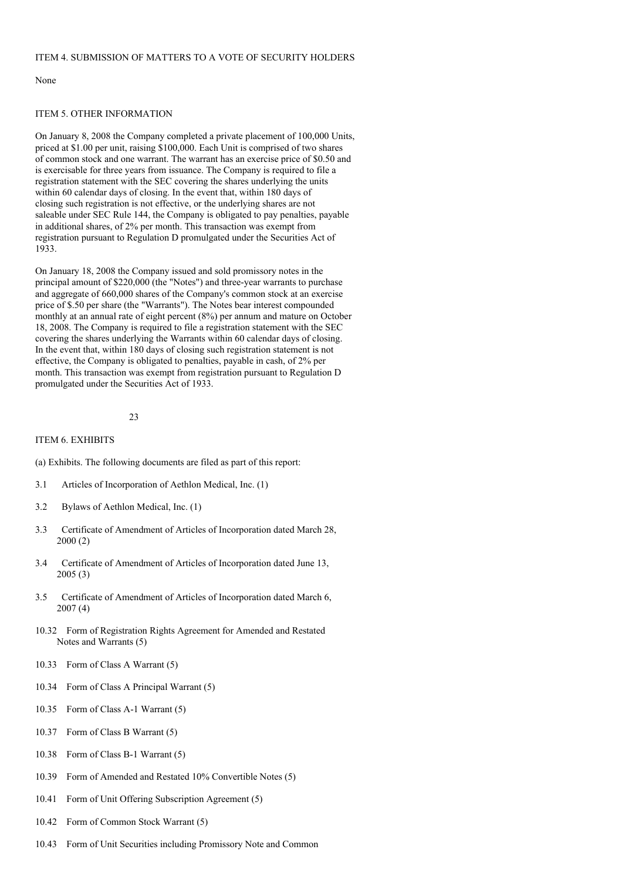None

## ITEM 5. OTHER INFORMATION

On January 8, 2008 the Company completed a private placement of 100,000 Units, priced at \$1.00 per unit, raising \$100,000. Each Unit is comprised of two shares of common stock and one warrant. The warrant has an exercise price of \$0.50 and is exercisable for three years from issuance. The Company is required to file a registration statement with the SEC covering the shares underlying the units within 60 calendar days of closing. In the event that, within 180 days of closing such registration is not effective, or the underlying shares are not saleable under SEC Rule 144, the Company is obligated to pay penalties, payable in additional shares, of 2% per month. This transaction was exempt from registration pursuant to Regulation D promulgated under the Securities Act of 1933.

On January 18, 2008 the Company issued and sold promissory notes in the principal amount of \$220,000 (the "Notes") and three-year warrants to purchase and aggregate of 660,000 shares of the Company's common stock at an exercise price of \$.50 per share (the "Warrants"). The Notes bear interest compounded monthly at an annual rate of eight percent (8%) per annum and mature on October 18, 2008. The Company is required to file a registration statement with the SEC covering the shares underlying the Warrants within 60 calendar days of closing. In the event that, within 180 days of closing such registration statement is not effective, the Company is obligated to penalties, payable in cash, of 2% per month. This transaction was exempt from registration pursuant to Regulation D promulgated under the Securities Act of 1933.

#### 23

### ITEM 6. EXHIBITS

(a) Exhibits. The following documents are filed as part of this report:

- 3.1 Articles of Incorporation of Aethlon Medical, Inc. (1)
- 3.2 Bylaws of Aethlon Medical, Inc. (1)
- 3.3 Certificate of Amendment of Articles of Incorporation dated March 28, 2000 (2)
- 3.4 Certificate of Amendment of Articles of Incorporation dated June 13, 2005 (3)
- 3.5 Certificate of Amendment of Articles of Incorporation dated March 6, 2007 (4)
- 10.32 Form of Registration Rights Agreement for Amended and Restated Notes and Warrants (5)
- 10.33 Form of Class A Warrant (5)
- 10.34 Form of Class A Principal Warrant (5)
- 10.35 Form of Class A-1 Warrant (5)
- 10.37 Form of Class B Warrant (5)
- 10.38 Form of Class B-1 Warrant (5)
- 10.39 Form of Amended and Restated 10% Convertible Notes (5)
- 10.41 Form of Unit Offering Subscription Agreement (5)
- 10.42 Form of Common Stock Warrant (5)
- 10.43 Form of Unit Securities including Promissory Note and Common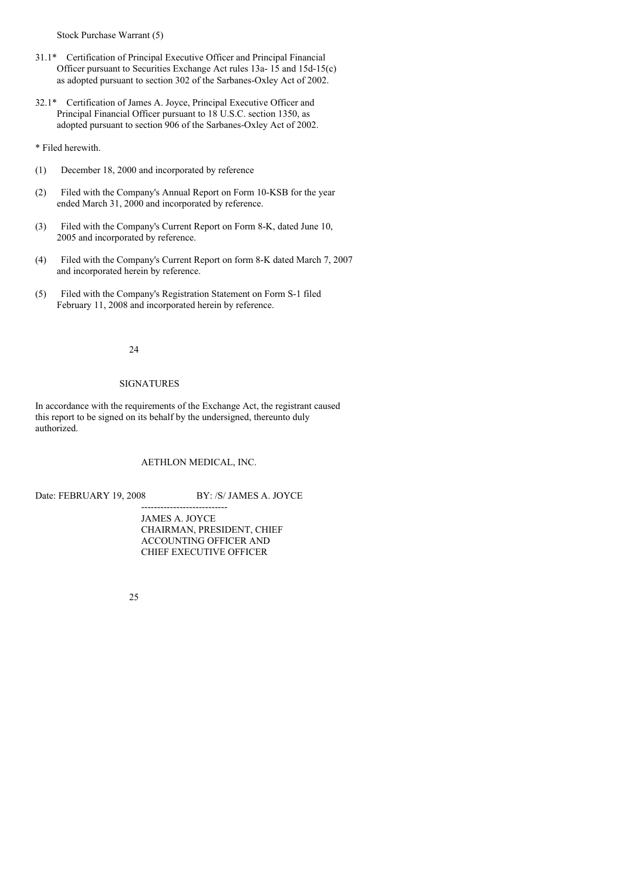Stock Purchase Warrant (5)

- 31.1\* Certification of Principal Executive Officer and Principal Financial Officer pursuant to Securities Exchange Act rules 13a- 15 and 15d-15(c) as adopted pursuant to section 302 of the Sarbanes-Oxley Act of 2002.
- 32.1\* Certification of James A. Joyce, Principal Executive Officer and Principal Financial Officer pursuant to 18 U.S.C. section 1350, as adopted pursuant to section 906 of the Sarbanes-Oxley Act of 2002.

\* Filed herewith.

- (1) December 18, 2000 and incorporated by reference
- (2) Filed with the Company's Annual Report on Form 10-KSB for the year ended March 31, 2000 and incorporated by reference.
- (3) Filed with the Company's Current Report on Form 8-K, dated June 10, 2005 and incorporated by reference.
- (4) Filed with the Company's Current Report on form 8-K dated March 7, 2007 and incorporated herein by reference.
- (5) Filed with the Company's Registration Statement on Form S-1 filed February 11, 2008 and incorporated herein by reference.

## 24

## SIGNATURES

In accordance with the requirements of the Exchange Act, the registrant caused this report to be signed on its behalf by the undersigned, thereunto duly authorized.

---------------------------

## AETHLON MEDICAL, INC.

Date: FEBRUARY 19, 2008 BY: /S/ JAMES A. JOYCE

JAMES A. JOYCE CHAIRMAN, PRESIDENT, CHIEF ACCOUNTING OFFICER AND CHIEF EXECUTIVE OFFICER

25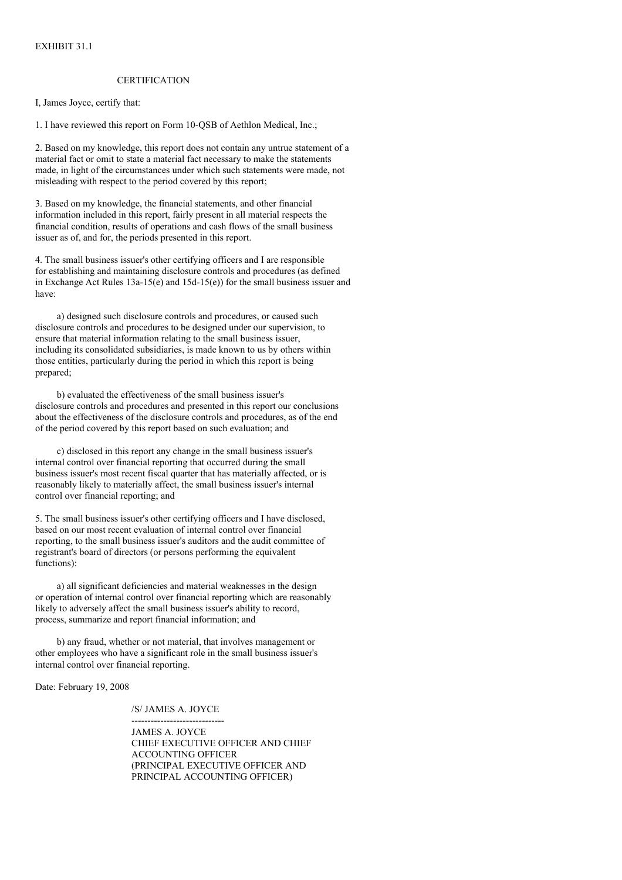### **CERTIFICATION**

I, James Joyce, certify that:

1. I have reviewed this report on Form 10-QSB of Aethlon Medical, Inc.;

2. Based on my knowledge, this report does not contain any untrue statement of a material fact or omit to state a material fact necessary to make the statements made, in light of the circumstances under which such statements were made, not misleading with respect to the period covered by this report;

3. Based on my knowledge, the financial statements, and other financial information included in this report, fairly present in all material respects the financial condition, results of operations and cash flows of the small business issuer as of, and for, the periods presented in this report.

4. The small business issuer's other certifying officers and I are responsible for establishing and maintaining disclosure controls and procedures (as defined in Exchange Act Rules 13a-15(e) and 15d-15(e)) for the small business issuer and have:

a) designed such disclosure controls and procedures, or caused such disclosure controls and procedures to be designed under our supervision, to ensure that material information relating to the small business issuer, including its consolidated subsidiaries, is made known to us by others within those entities, particularly during the period in which this report is being prepared;

b) evaluated the effectiveness of the small business issuer's disclosure controls and procedures and presented in this report our conclusions about the effectiveness of the disclosure controls and procedures, as of the end of the period covered by this report based on such evaluation; and

c) disclosed in this report any change in the small business issuer's internal control over financial reporting that occurred during the small business issuer's most recent fiscal quarter that has materially affected, or is reasonably likely to materially affect, the small business issuer's internal control over financial reporting; and

5. The small business issuer's other certifying officers and I have disclosed, based on our most recent evaluation of internal control over financial reporting, to the small business issuer's auditors and the audit committee of registrant's board of directors (or persons performing the equivalent functions):

a) all significant deficiencies and material weaknesses in the design or operation of internal control over financial reporting which are reasonably likely to adversely affect the small business issuer's ability to record, process, summarize and report financial information; and

b) any fraud, whether or not material, that involves management or other employees who have a significant role in the small business issuer's internal control over financial reporting.

Date: February 19, 2008

/S/ JAMES A. JOYCE

----------------------------- JAMES A. JOYCE CHIEF EXECUTIVE OFFICER AND CHIEF ACCOUNTING OFFICER (PRINCIPAL EXECUTIVE OFFICER AND PRINCIPAL ACCOUNTING OFFICER)